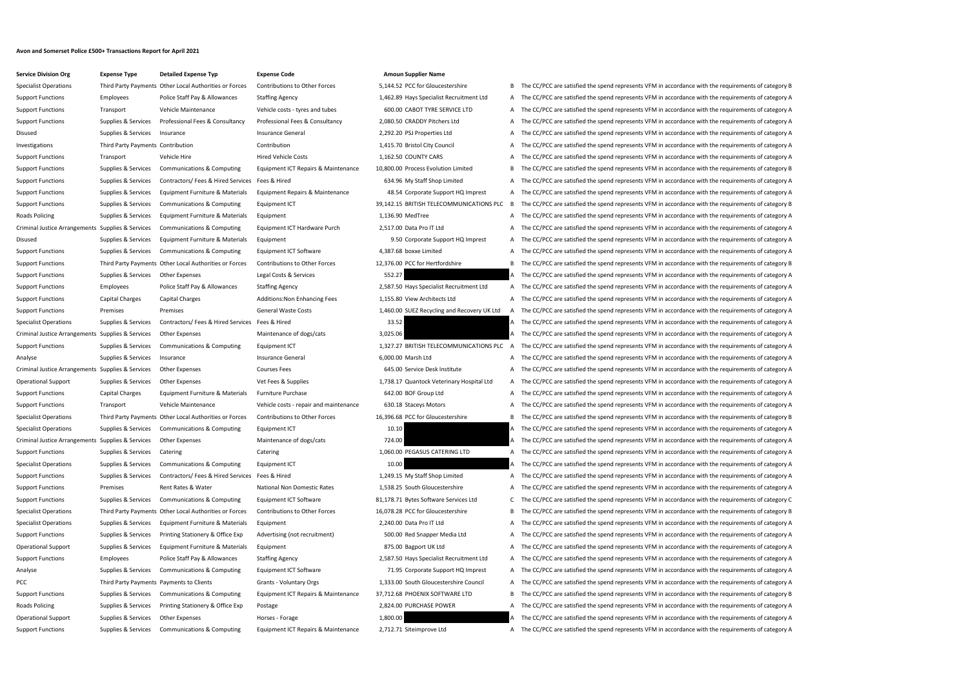## **Avon and Somerset Police £500+ Transactions Report for April 2021**

| <b>Service Division Org</b>                       | <b>Expense Type</b>                         | <b>Detailed Expense Typ</b>                 |
|---------------------------------------------------|---------------------------------------------|---------------------------------------------|
| <b>Specialist Operations</b>                      |                                             | Third Party Payments Other Local Authoritie |
| <b>Support Functions</b>                          | Employees                                   | Police Staff Pay & Allo                     |
| <b>Support Functions</b>                          | Transport                                   | Vehicle Maintenance                         |
| <b>Support Functions</b>                          | Supplies & Services                         | Professional Fees & C                       |
| Disused                                           | Supplies & Services                         | Insurance                                   |
| Investigations                                    | Third Party Payments Contribution           |                                             |
| <b>Support Functions</b>                          | Transport                                   | Vehicle Hire                                |
| <b>Support Functions</b>                          | Supplies & Services                         | Communications & Co                         |
| <b>Support Functions</b>                          | Supplies & Services                         | Contractors/Fees & F                        |
| <b>Support Functions</b>                          | Supplies & Services                         | Equipment Furniture                         |
| <b>Support Functions</b>                          | Supplies & Services                         | Communications & Co                         |
| <b>Roads Policing</b>                             | Supplies & Services                         | Equipment Furniture                         |
| Criminal Justice Arrangements Supplies & Services |                                             | Communications & Co                         |
| Disused                                           | Supplies & Services                         | Equipment Furniture                         |
| <b>Support Functions</b>                          | Supplies & Services                         | Communications & Co                         |
| <b>Support Functions</b>                          | Third Party Payments Other Local Authoritie |                                             |
| <b>Support Functions</b>                          | Supplies & Services                         | <b>Other Expenses</b>                       |
| <b>Support Functions</b>                          | <b>Employees</b>                            | Police Staff Pay & Allo                     |
| <b>Support Functions</b>                          | Capital Charges                             | <b>Capital Charges</b>                      |
| <b>Support Functions</b>                          | Premises                                    | Premises                                    |
| <b>Specialist Operations</b>                      | Supplies & Services                         | Contractors/Fees & F                        |
| Criminal Justice Arrangements Supplies & Services |                                             | Other Expenses                              |
| <b>Support Functions</b>                          | Supplies & Services                         | Communications & Co                         |
| Analyse                                           | Supplies & Services                         | Insurance                                   |
| Criminal Justice Arrangements Supplies & Services |                                             | Other Expenses                              |
| <b>Operational Support</b>                        | Supplies & Services                         | <b>Other Expenses</b>                       |
| <b>Support Functions</b>                          | Capital Charges                             | Equipment Furniture                         |
| <b>Support Functions</b>                          | Transport                                   | Vehicle Maintenance                         |
| <b>Specialist Operations</b>                      | Third Party Payments Other Local Authoritie |                                             |
| <b>Specialist Operations</b>                      | Supplies & Services                         | Communications & Co                         |
| Criminal Justice Arrangements Supplies & Services |                                             | Other Expenses                              |
| <b>Support Functions</b>                          | Supplies & Services                         | Catering                                    |
| <b>Specialist Operations</b>                      | Supplies & Services                         | Communications & Co                         |
| <b>Support Functions</b>                          | Supplies & Services                         | Contractors/Fees & F                        |
| <b>Support Functions</b>                          | Premises                                    | Rent Rates & Water                          |
| <b>Support Functions</b>                          | Supplies & Services                         | Communications & Co                         |
| <b>Specialist Operations</b>                      |                                             | Third Party Payments Other Local Authoritie |
| <b>Specialist Operations</b>                      | Supplies & Services                         | <b>Equipment Furniture</b>                  |
| <b>Support Functions</b>                          | Supplies & Services                         | Printing Stationery &                       |
| <b>Operational Support</b>                        | Supplies & Services                         | Equipment Furniture                         |
| <b>Support Functions</b>                          | Employees                                   | Police Staff Pay & Allo                     |
| Analyse                                           | Supplies & Services                         | Communications & Co                         |
| <b>PCC</b>                                        | Third Party Payments Payments to Clients    |                                             |
| <b>Support Functions</b>                          | Supplies & Services                         | Communications & Co                         |
| Roads Policing                                    | Supplies & Services                         | Printing Stationery &                       |
| <b>Operational Support</b>                        | Supplies & Services                         | <b>Other Expenses</b>                       |
| <b>Support Functions</b>                          | Supplies & Services                         | Communications & Co                         |

## **Expense Code Division Computer AmountSupplier Name** es or Forces Contributions to Other Forces 5,144.52 PCC for Gloucestershire B The CC/PCC are satisfied the spend represents VFM in accordance with the requirements of category B

| opecialist operations                                            |                                          | Time Farty Fayments Other Eocal Additionates of Forces |                                        |                                             |   | The correction subsidiary and spend represents virtual accordance with the requirements or category b |
|------------------------------------------------------------------|------------------------------------------|--------------------------------------------------------|----------------------------------------|---------------------------------------------|---|-------------------------------------------------------------------------------------------------------|
| <b>Support Functions</b>                                         | Employees                                | Police Staff Pay & Allowances                          | <b>Staffing Agency</b>                 | 1,462.89 Hays Specialist Recruitment Ltd    |   | A The CC/PCC are satisfied the spend represents VFM in accordance with the requirements of category A |
| <b>Support Functions</b>                                         | Transport                                | Vehicle Maintenance                                    | Vehicle costs - tyres and tubes        | 600.00 CABOT TYRE SERVICE LTD               | A | The CC/PCC are satisfied the spend represents VFM in accordance with the requirements of category A   |
| <b>Support Functions</b>                                         | Supplies & Services                      | Professional Fees & Consultancy                        | Professional Fees & Consultancy        | 2,080.50 CRADDY Pitchers Ltd                |   | The CC/PCC are satisfied the spend represents VFM in accordance with the requirements of category A   |
| Disused                                                          | Supplies & Services                      | Insurance                                              | Insurance General                      | 2,292.20 PSJ Properties Ltd                 |   | A The CC/PCC are satisfied the spend represents VFM in accordance with the requirements of category A |
| Investigations                                                   | Third Party Payments Contribution        |                                                        | Contribution                           | 1,415.70 Bristol City Council               | A | The CC/PCC are satisfied the spend represents VFM in accordance with the requirements of category A   |
| Support Functions                                                | Transport                                | Vehicle Hire                                           | <b>Hired Vehicle Costs</b>             | 1,162.50 COUNTY CARS                        | A | The CC/PCC are satisfied the spend represents VFM in accordance with the requirements of category A   |
| <b>Support Functions</b>                                         | Supplies & Services                      | Communications & Computing                             | Equipment ICT Repairs & Maintenance    | 10,800.00 Process Evolution Limited         | B | The CC/PCC are satisfied the spend represents VFM in accordance with the requirements of category B   |
| <b>Support Functions</b>                                         | Supplies & Services                      | Contractors/Fees & Hired Services Fees & Hired         |                                        | 634.96 My Staff Shop Limited                |   | The CC/PCC are satisfied the spend represents VFM in accordance with the requirements of category A   |
| <b>Support Functions</b>                                         | Supplies & Services                      | Equipment Furniture & Materials                        | Equipment Repairs & Maintenance        | 48.54 Corporate Support HQ Imprest          |   | A The CC/PCC are satisfied the spend represents VFM in accordance with the requirements of category A |
| <b>Support Functions</b>                                         | Supplies & Services                      | Communications & Computing                             | Equipment ICT                          | 39,142.15 BRITISH TELECOMMUNICATIONS PLC    | B | The CC/PCC are satisfied the spend represents VFM in accordance with the requirements of category B   |
| Roads Policing                                                   | Supplies & Services                      | Equipment Furniture & Materials                        | Equipment                              | 1,136.90 MedTree                            |   | The CC/PCC are satisfied the spend represents VFM in accordance with the requirements of category A   |
| Criminal Justice Arrangements Supplies & Services                |                                          | Communications & Computing                             | Equipment ICT Hardware Purch           | 2,517.00 Data Pro IT Ltd                    | A | The CC/PCC are satisfied the spend represents VFM in accordance with the requirements of category A   |
| Disused                                                          | Supplies & Services                      | Equipment Furniture & Materials                        | Equipment                              | 9.50 Corporate Support HQ Imprest           |   | A The CC/PCC are satisfied the spend represents VFM in accordance with the requirements of category A |
| <b>Support Functions</b>                                         | Supplies & Services                      | Communications & Computing                             | Equipment ICT Software                 | 4,387.68 boxxe Limited                      | A | The CC/PCC are satisfied the spend represents VFM in accordance with the requirements of category A   |
| <b>Support Functions</b>                                         |                                          | Third Party Payments Other Local Authorities or Forces | <b>Contributions to Other Forces</b>   | 12,376.00 PCC for Hertfordshire             |   | B The CC/PCC are satisfied the spend represents VFM in accordance with the requirements of category B |
| <b>Support Functions</b>                                         | Supplies & Services                      | Other Expenses                                         | Legal Costs & Services                 | 552.27                                      |   | A The CC/PCC are satisfied the spend represents VFM in accordance with the requirements of category A |
| <b>Support Functions</b>                                         | Employees                                | Police Staff Pay & Allowances                          | <b>Staffing Agency</b>                 | 2,587.50 Hays Specialist Recruitment Ltd    |   | A The CC/PCC are satisfied the spend represents VFM in accordance with the requirements of category A |
| <b>Support Functions</b>                                         | <b>Capital Charges</b>                   | Capital Charges                                        | Additions: Non Enhancing Fees          | 1,155.80 View Architects Ltd                |   | A The CC/PCC are satisfied the spend represents VFM in accordance with the requirements of category A |
| <b>Support Functions</b>                                         | Premises                                 | Premises                                               | <b>General Waste Costs</b>             | 1,460.00 SUEZ Recycling and Recovery UK Ltd |   | A The CC/PCC are satisfied the spend represents VFM in accordance with the requirements of category A |
| <b>Specialist Operations</b>                                     | Supplies & Services                      | Contractors/Fees & Hired Services Fees & Hired         |                                        | 33.52                                       |   | A The CC/PCC are satisfied the spend represents VFM in accordance with the requirements of category A |
| Criminal Justice Arrangements Supplies & Services                |                                          | Other Expenses                                         | Maintenance of dogs/cats               | 3,025.06                                    |   | A The CC/PCC are satisfied the spend represents VFM in accordance with the requirements of category A |
| <b>Support Functions</b>                                         | Supplies & Services                      | Communications & Computing                             | Equipment ICT                          | 1,327.27 BRITISH TELECOMMUNICATIONS PLC A   |   | The CC/PCC are satisfied the spend represents VFM in accordance with the requirements of category A   |
| Analyse                                                          | Supplies & Services                      | Insurance                                              | Insurance General                      | 6,000.00 Marsh Ltd                          |   | A The CC/PCC are satisfied the spend represents VFM in accordance with the requirements of category A |
| Criminal Justice Arrangements Supplies & Services                |                                          | Other Expenses                                         | <b>Courses Fees</b>                    | 645.00 Service Desk Institute               | A | The CC/PCC are satisfied the spend represents VFM in accordance with the requirements of category A   |
| <b>Operational Support</b>                                       | Supplies & Services                      | Other Expenses                                         | Vet Fees & Supplies                    | 1,738.17 Quantock Veterinary Hospital Ltd   | A | The CC/PCC are satisfied the spend represents VFM in accordance with the requirements of category A   |
| Support Functions                                                | <b>Capital Charges</b>                   | Equipment Furniture & Materials                        | <b>Furniture Purchase</b>              | 642.00 BOF Group Ltd                        |   | A The CC/PCC are satisfied the spend represents VFM in accordance with the requirements of category A |
| <b>Support Functions</b>                                         | Transport                                | Vehicle Maintenance                                    | Vehicle costs - repair and maintenance | 630.18 Staceys Motors                       |   | The CC/PCC are satisfied the spend represents VFM in accordance with the requirements of category A   |
| <b>Specialist Operations</b>                                     |                                          | Third Party Payments Other Local Authorities or Forces | <b>Contributions to Other Forces</b>   | 16.396.68 PCC for Gloucestershire           |   | B The CC/PCC are satisfied the spend represents VFM in accordance with the requirements of category B |
| <b>Specialist Operations</b>                                     |                                          | Supplies & Services Communications & Computing         | Equipment ICT                          | 10.10                                       |   | A The CC/PCC are satisfied the spend represents VFM in accordance with the requirements of category A |
| Criminal Justice Arrangements Supplies & Services Other Expenses |                                          |                                                        | Maintenance of dogs/cats               | 724.00                                      |   | A The CC/PCC are satisfied the spend represents VFM in accordance with the requirements of category A |
| <b>Support Functions</b>                                         | Supplies & Services Catering             |                                                        | Catering                               | 1,060.00 PEGASUS CATERING LTD               |   | A The CC/PCC are satisfied the spend represents VFM in accordance with the requirements of category A |
| <b>Specialist Operations</b>                                     | Supplies & Services                      | Communications & Computing                             | Equipment ICT                          | 10.00                                       |   | The CC/PCC are satisfied the spend represents VFM in accordance with the requirements of category A   |
| <b>Support Functions</b>                                         | Supplies & Services                      | Contractors/Fees & Hired Services Fees & Hired         |                                        | 1,249.15 My Staff Shop Limited              |   | A The CC/PCC are satisfied the spend represents VFM in accordance with the requirements of category A |
| <b>Support Functions</b>                                         | Premises                                 | Rent Rates & Water                                     | National Non Domestic Rates            | 1,538.25 South Gloucestershire              | A | The CC/PCC are satisfied the spend represents VFM in accordance with the requirements of category A   |
| <b>Support Functions</b>                                         | Supplies & Services                      | Communications & Computing                             | Equipment ICT Software                 | 81,178.71 Bytes Software Services Ltd       |   | C The CC/PCC are satisfied the spend represents VFM in accordance with the requirements of category C |
| <b>Specialist Operations</b>                                     |                                          | Third Party Payments Other Local Authorities or Forces | <b>Contributions to Other Forces</b>   | 16,078.28 PCC for Gloucestershire           | в | The CC/PCC are satisfied the spend represents VFM in accordance with the requirements of category B   |
| <b>Specialist Operations</b>                                     | Supplies & Services                      | Equipment Furniture & Materials                        | Equipment                              | 2,240.00 Data Pro IT Ltd                    | A | The CC/PCC are satisfied the spend represents VFM in accordance with the requirements of category A   |
| <b>Support Functions</b>                                         | Supplies & Services                      | Printing Stationery & Office Exp                       | Advertising (not recruitment)          | 500.00 Red Snapper Media Ltd                | A | The CC/PCC are satisfied the spend represents VFM in accordance with the requirements of category A   |
| <b>Operational Support</b>                                       | Supplies & Services                      | Equipment Furniture & Materials                        | Equipment                              | 875.00 Bagport UK Ltd                       | A | The CC/PCC are satisfied the spend represents VFM in accordance with the requirements of category A   |
| <b>Support Functions</b>                                         | Employees                                | Police Staff Pay & Allowances                          | <b>Staffing Agency</b>                 | 2,587.50 Hays Specialist Recruitment Ltd    | A | The CC/PCC are satisfied the spend represents VFM in accordance with the requirements of category A   |
| Analyse                                                          | Supplies & Services                      | Communications & Computing                             | Equipment ICT Software                 | 71.95 Corporate Support HQ Imprest          | A | The CC/PCC are satisfied the spend represents VFM in accordance with the requirements of category A   |
| PCC                                                              | Third Party Payments Payments to Clients |                                                        | Grants - Voluntary Orgs                | 1,333.00 South Gloucestershire Council      |   | A The CC/PCC are satisfied the spend represents VFM in accordance with the requirements of category A |
| <b>Support Functions</b>                                         | Supplies & Services                      | <b>Communications &amp; Computing</b>                  | Equipment ICT Repairs & Maintenance    | 37,712.68 PHOENIX SOFTWARE LTD              | B | The CC/PCC are satisfied the spend represents VFM in accordance with the requirements of category B   |
| Roads Policing                                                   | Supplies & Services                      | Printing Stationery & Office Exp                       | Postage                                | 2,824.00 PURCHASE POWER                     | A | The CC/PCC are satisfied the spend represents VFM in accordance with the requirements of category A   |
| <b>Operational Support</b>                                       | Supplies & Services                      | Other Expenses                                         | Horses - Forage                        | 1,800.00                                    |   | A The CC/PCC are satisfied the spend represents VFM in accordance with the requirements of category A |
|                                                                  |                                          |                                                        |                                        |                                             |   |                                                                                                       |

## omputing Equipment ICT Repairs & Maintenance 2,712.71 Siteimprove Ltd A The CC/PCC are satisfied the spend represents VFM in accordance with the requirements of category A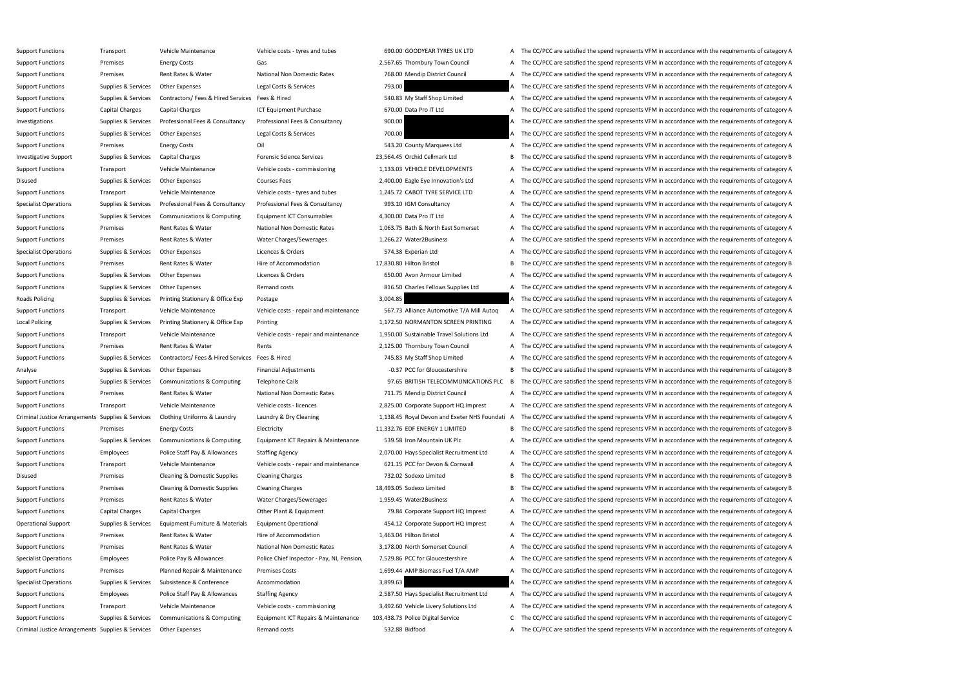Support Functions Transport Vehicle Maintenance Vehicle costs - tyres and tubes 690.00 GOODYEAR TYRES UK LTD A The CC/PCC are satisfied the spend represents VFM in accordance with the requirements of category A Support Functions Premises Energy Costs Gas Gas Gas 2.567.65 Thornbury Town Council A The CC/PCC are satisfied the spend represents VFM in accordance with the requirements of category A Support Functions Premises Rent Rates & Water National Non Domestic Rates 768.00 Mendip District Council A The CC/PCC are satisfied the spend represents VFM in accordance with the requirements of category A Support Functions Supplies & Services Other Expenses Legal Costs & Services 793.00 A The CC/PCC are satisfied the spend represents VFM in accordance with the requirements of category A Support Functions Supplies & Services Contractors/ Fees & Hired Services Fees & Hired Services Fees & Hired 540.83 My Staff Shop Limited A The CC/PCC are satisfied the spend represents VFM in accordance with the requiremen Support Functions Capital Charges Capital Charges ICT Equipment Purchase 670.00 Data Pro IT Ltd A The CC/PCC are satisfied the spend represents VFM in accordance with the requirements of category A Investigations Supplies & Services Professional Fees & Consultancy Professional Fees & Consultancy 900.00 A The CC/PCC are satisfied the spend represents VFM in accordance with the requirements of category A Support Functions Supplies & Services Other Expenses Legal Costs & Services 200.00 A The CC/PCC are satisfied the spend represents VFM in accordance with the requirements of category A Support Functions Premises Energy Costs Oil Oil SA3.20 County Marquees Ltd A The CC/PCC are satisfied the spend represents VFM in accordance with the requirements of category A Investigative Support Supplies & Services Capital Charges Forensic Science Services 23,564.45 Orchid Cellmark Ltd B The CC/PCC are satisfied the spend represents VFM in accordance with the requirements of category B Support Functions Transport Vehicle Maintenance Vehicle costs - commissioning 1,133.03 VEHICLE DEVELOPMENTS A The CC/PCC are satisfied the spend represents VFM in accordance with the requirements of category A Disused Supplies & Services Other Expenses Courses Fees Courses Fees 2,400.00 Eagle Eye Innovation's Ltd A The CC/PCC are satisfied the spend represents VFM in accordance with the requirements of category A Support Functions Transport Vehicle Maintenance Vehicle costs - tyres and tubes 1,245.72 CABOT TYRE SERVICE LTD A The CC/PCC are satisfied the spend represents VFM in accordance with the requirements of category A Specialist Operations Supplies & Services Professional Fees & Consultancy Professional Fees & Consultancy Professional Fees & Consultancy 993.10 IGM Consultancy A The CC/PCC are satisfied the spend represents VFM in accord Support Functions Supplies & Services Communications & Computing Equipment ICT Consumables 4,300.00 Data Pro IT Ltd A The CC/PCC are satisfied the spend represents VFM in accordance with the requirements of category A Support Functions Premises Rent Rates & Water National Non Domestic Rates 1,063.75 Bath & North East Somerset A The CC/PCC are satisfied the spend represents VFM in accordance with the requirements of category A Support Functions Premises Rent Rates & Water Water Charges/Sewerages 1,266.27 Water2Business A The CC/PCC are satisfied the spend represents VFM in accordance with the requirements of category A Specialist Operations Supplies & Services Other Expenses Licences & Orders 1999 Creations and the CC/PCC are satisfied the spend represents VFM in accordance with the requirements of category A Support Functions Premises Rent Rates & Water Hire of Accommodation Hire of Accommodation 17,830.80 Hilton Bristol B The CC/PCC are satisfied the spend represents VFM in accordance with the requirements of category B Support Functions Supplies & Services Other Expenses Licences & Orders 650.00 Avon Armour Limited A The CC/PCC are satisfied the spend represents VFM in accordance with the requirements of category A Support Functions Supplies & Services Other Expenses Remand costs Remand costs 816.50 Charles Fellows Supplies Ltd A The CC/PCC are satisfied the spend represents VFM in accordance with the requirements of category A Roads Policing Supplies & Services Printing Stationery & Office Exp Postage Printing Stationery & Office Exp Postage 3,004.85 3,004.85 A The CC/PCC are satisfied the spend represents VFM in accordance with the requirements Support Functions Transport Transport Wehicle Maintenance Vehicle costs - repair and maintenance 567.73 Alliance Automotive T/A Mill Autoq A The CC/PCC are satisfied the spend represents VFM in accordance with the requirem Local Policing Supplies & Services Printing Stationery & Office Exp Printing Printing 1,172.50 NORMANTON SCREEN PRINTING A The CC/PCC are satisfied the spend represents VFM in accordance with the requirements of category A Support Functions Transport Vehicle Maintenance Vehicle costs - repair and maintenance 1,950.00 Sustainable Travel Solutions Ltd A The CC/PCC are satisfied the spend represents VFM in accordance with the requirements of ca Support Functions Premises Rent Rates & Water Rents Rents Rents 2,125.00 Thornbury Town Council A The CC/PCC are satisfied the spend represents VFM in accordance with the requirements of category A Support Functions Supplies & Services Contractors/ Fees & Hired Services Fees & Hired Music Fees & Hired 745.83 My Staff Shop Limited A The CC/PCC are satisfied the spend represents VFM in accordance with the requirements Analyse Supplies & Services Other Expenses Financial Adjustments Financial Adjustments -0.37 PCC for Gloucestershire B The CC/PCC are satisfied the spend represents VFM in accordance with the requirements of category B Support Functions Supplies & Services Communications & Computing Telephone Calls 97.65 BRITISH TELECOMMUNICATIONS PLC B The CC/PCC are satisfied the spend represents VFM in accordance with the requirements of category B Support Functions Premises Rent Rates & Water National Non Domestic Rates 711.75 Mendip District Council A The CC/PCC are satisfied the spend represents VFM in accordance with the requirements of category A Support Functions Transport Vehicle Maintenance Vehicle costs - licences 2,825.00 Corporate Support HQ Imprest A The CC/PCC are satisfied the spend represents VFM in accordance with the requirements of category A Criminal Justice Arrangements Supplies & Services Clothing Uniforms & Laundry Laundry & Dry Cleaning 1,138.45 Royal Devon and Exeter NHS Foundati A The CC/PCC are satisfied the spend represents VFM in accordance with the r Support Functions Premises Energy Costs Electricity Electricity and Electricity and the spend term of category B The CC/PCC are satisfied the spend represents VFM in accordance with the requirements of category B Support Functions Supplies & Services Communications & Computing Equipment ICT Repairs & Maintenance 539.58 Iron Mountain UK Plc A The CC/PCC are satisfied the spend represents VFM in accordance with the requirements of ca Support Functions Employees Police Staff Pay & Allowances Staffing Agency 2,070.00 Hays Specialist Recruitment Ltd A The CC/PCC are satisfied the spend represents VFM in accordance with the requirements of category A Support Functions Transport Vehicle Maintenance Vehicle costs - repair and maintenance 621.15 PCC for Devon & Cornwall A The CC/PCC are satisfied the spend represents VFM in accordance with the requirements of category A Disused Premises Cleaning & Domestic Supplies Cleaning Charges 732.02 Sodexo Limited B The CC/PCC are satisfied the spend represents VFM in accordance with the requirements of category B Support Functions Premises Cleaning & Domestic Supplies Cleaning Charges 18,493.05 Sodexo Limited B The CC/PCC are satisfied the spend represents VFM in accordance with the requirements of category B Support Functions Premises Rent Rates & Water Water Charges/Sewerages 1,959.45 Water2Business A The CC/PCC are satisfied the spend represents VFM in accordance with the requirements of category A Support Functions Capital Charges Capital Charges Other Plant & Equipment 79.84 Corporate Support HQ Imprest A The CC/PCC are satisfied the spend represents VFM in accordance with the requirements of category A Operational Support Supplies & Services Equipment Furniture & Materials Equipment Operational 454.12 Corporate Support HQ Imprest A The CC/PCC are satisfied the spend represents VFM in accordance with the requirements of c Support Functions Premises Rent Rates & Water Hire of Accommodation 1,463.04 Hilton Bristol A The CC/PCC are satisfied the spend represents VFM in accordance with the requirements of category A Support Functions Premises Rent Rates & Water National Non Domestic Rates 3,178.00 North Somerset Council A The CC/PCC are satisfied the spend represents VFM in accordance with the requirements of category A Specialist Operations Employees Police Pay & Allowances Police Chief Inspector - Pay, NI, Pension, 7,529.86 PCC for Gloucestershire A The CC/PCC are satisfied the spend represents VFM in accordance with the requirements of Support Functions Premises Planned Repair & Maintenance Premises Costs 1,699.44 AMP Biomass Fuel T/A AMP A The CC/PCC are satisfied the spend represents VFM in accordance with the requirements of category A Specialist Operations Supplies & Services Subsistence & Conference Accommodation Accommodation 3,899.63 A The CC/PCC are satisfied the spend represents VFM in accordance with the requirements of category A Support Functions Employees Police Staff Pay & Allowances Staffing Agency 2,587.50 Hays Specialist Recruitment Ltd A The CC/PCC are satisfied the spend represents VFM in accordance with the requirements of category A Support Functions Transport Vehicle Maintenance Vehicle costs - commissioning 3,492.60 Vehicle Livery Solutions Ltd A The CC/PCC are satisfied the spend represents VFM in accordance with the requirements of category A Support Functions Supplies & Services Communications & Computing Equipment ICT Repairs & Maintenance 103,438.73 Police Digital Service CT he CC/PCC are satisfied the spend represents VFM in accordance with the requirements Criminal Justice Arrangements Supplies & Services Other Expenses Remand costs Remand costs 532.88 Bidfood 532.88 Bidfood A The CC/PCC are satisfied the spend represents VFM in accordance with the requirements of category A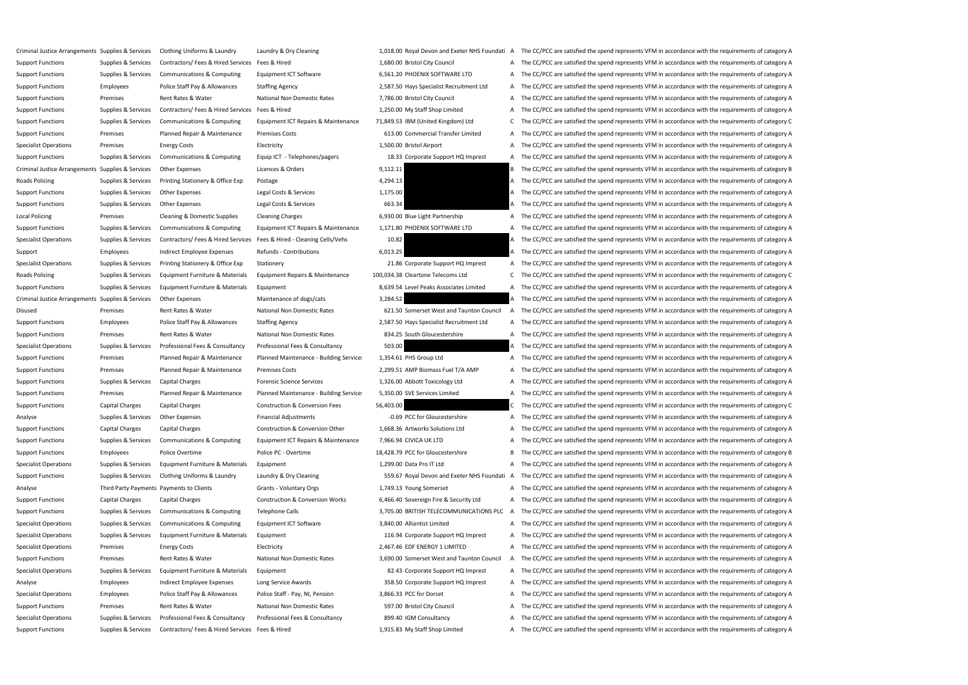Criminal Justice Arrangements Supplies & Services Clothing Uniforms & Laundry Laundry & Dry Cleaning 1.018.00 Royal Devon and Exeter NHS Foundati A The CC/PCC are satisfied the spend represents VFM in accordance with the r Support Functions Supplies & Services Contractors/ Fees & Hired Services Fees & Hired 1,680.00 Bristol City Council A The CC/PCC are satisfied the spend represents VFM in accordance with the requirements of category A Support Functions Supplies & Services Communications & Computing Equipment ICT Software 6,561.20 PHOENIX SOFTWARE LTD A The CC/PCC are satisfied the spend represents VFM in accordance with the requirements of category A Support Functions Employees Police Staff Pay & Allowances Staffing Agency 2,587.50 Hays Specialist Recruitment Ltd A The CC/PCC are satisfied the spend represents VFM in accordance with the requirements of category A Support Functions Premises Rent Rates & Water National Non Domestic Rates 7,786.00 Bristol City Council A The CC/PCC are satisfied the spend represents VFM in accordance with the requirements of category A Support Functions Supplies & Services Contractors/ Fees & Hired Services Fees & Hired 1,250.00 My Staff Shop Limited A The CC/PCC are satisfied the spend represents VFM in accordance with the requirements of category A Support Functions Supplies & Services Communications & Computing Equipment ICT Repairs & Maintenance 71,849.53 IBM (United Kingdom) Ltd C The CC/PCC are satisfied the spend represents VFM in accordance with the requirement Support Functions Premises Planned Repair & Maintenance Premises Costs 613.00 Commercial Transfer Limited A The CC/PCC are satisfied the spend represents VFM in accordance with the requirements of category A Specialist Operations Premises Energy Costs Electricity Electricity and the Spend A The CC/PCC are satisfied the spend represents VFM in accordance with the requirements of category A Support Functions Supplies & Services Communications & Computing Equip ICT - Telephones/pagers 18.33 Corporate Support HQ Imprest A The CC/PCC are satisfied the spend represents VFM in accordance with the requirements of c Criminal Justice Arrangements Supplies & Services Other Expenses Licences & Orders 9,112.11 9 2,112.11 B The CC/PCC are satisfied the spend represents VFM in accordance with the requirements of category B Roads Policing Supplies & Services Printing Stationery & Office Exp Postage 4,294.13 A The CC/PCC are satisfied the spend represents VFM in accordance with the requirements of category A Support Functions Supplies & Services Other Expenses Legal Costs & Services 1,175.00 A The CC/PCC are satisfied the spend represents VFM in accordance with the requirements of category A Support Functions Supplies & Services Other Expenses Legal Costs & Services 663.34 A The CC/PCC are satisfied the spend represents VFM in accordance with the requirements of category A Local Policing Premises Cleaning & Domestic Supplies Cleaning Charges 6,930.00 Blue Light Partnership A The CC/PCC are satisfied the spend represents VFM in accordance with the requirements of category A Support Functions Supplies & Services Communications & Computing Equipment ICT Repairs & Maintenance 1,171.80 PHOENIX SOFTWARE LTD A The CC/PCC are satisfied the spend represents VFM in accordance with the requirements of Specialist Operations Supplies & Services Contractors/ Fees & Hired Services Fees & Hired - Cleaning Cells/Vehs 10.82 A The CC/PCC are satisfied the spend represents VFM in accordance with the requirements of category A Support Employees Indirect Employee Expenses Refunds - Contributions 6,013.25 6,013.25 A The CC/PCC are satisfied the spend represents VFM in accordance with the requirements of category A Specialist Operations Supplies & Services Printing Stationery & Office Exp Stationery 21.86 Corporate Support HQ Imprest A The CC/PCC are satisfied the spend represents VFM in accordance with the requirements of category A Roads Policing Supplies & Services Equipment Furniture & Materials Equipment Repairs & Maintenance 100,034.38 Cleartone Telecoms Ltd C The CC/PCC are satisfied the spend represents VFM in accordance with the requirements o Support Functions Supplies & Services Equipment Furniture & Materials Equipment 8 and Equipment 8,639.54 Level Peaks Associates Limited A The CC/PCC are satisfied the spend represents VFM in accordance with the requirement Criminal Justice Arrangements Supplies & Services Other Expenses Maintenance of dogs/cats Maintenance of dogs/cats 3,284.52 A The CC/PCC are satisfied the spend represents VFM in accordance with the requirements of categor Disused Premises Rent Rates & Water National Non Domestic Rates 621.50 Somerset West and Taunton Council A The CC/PCC are satisfied the spend represents VFM in accordance with the requirements of category A Support Functions Employees Police Staff Pay & Allowances Staffing Agency 2,587.50 Hays Specialist Recruitment Ltd A The CC/PCC are satisfied the spend represents VFM in accordance with the requirements of category A Support Functions Premises Rent Rates & Water National Non Domestic Rates 834.25 South Gloucestershire A The CC/PCC are satisfied the spend represents VFM in accordance with the requirements of category A Specialist Operations Supplies & Services Professional Fees & Consultancy Professional Fees & Consultancy Professional Fees & Consultancy 503.00 A The CC/PCC are satisfied the spend represents VFM in accordance with the re Support Functions Premises Planned Repair & Maintenance Planned Maintenance - Building Service: 1,354.61 PHS Group Ltd A The CC/PCC are satisfied the spend represents VFM in accordance with the requirements of category A Support Functions Premises Planned Repair & Maintenance Premises Costs 2,299.51 AMP Biomass Fuel T/A AMP A The CC/PCC are satisfied the spend represents VFM in accordance with the requirements of category A Support Functions Supplies & Services Capital Charges Forensic Science Services 1,326.00 Abbott Toxicology Ltd A The CC/PCC are satisfied the spend represents VFM in accordance with the requirements of category A Support Functions Premises Planned Repair & Maintenance Planned Maintenance - Building Service: 5,350.00 SVE Services Limited A The CC/PCC are satisfied the spend represents VFM in accordance with the requirements of categ Support Functions Capital Charges Capital Charges Construction & Conversion Fees 56,403.00 C The CC/PCC are satisfied the spend represents VFM in accordance with the requirements of category C Analyse Supplies & Services Other Expenses Financial Adjustments Financial Adjustments -0.69 PCC for Gloucestershire A The CC/PCC are satisfied the spend represents VFM in accordance with the requirements of category A Support Functions Capital Charges Capital Charges Construction & Conversion Other 1,668.36 Artworks Solutions Ltd A The CC/PCC are satisfied the spend represents VFM in accordance with the requirements of category A Support Functions Supplies & Services Communications & Computing Equipment ICT Repairs & Maintenance 7,966.94 CIVICA UK LTD A The CC/PCC are satisfied the spend represents VFM in accordance with the requirements of categor Support Functions Employees Police Overtime Police PC - Overtime 18,428.79 PCC for Gloucestershire B The CC/PCC are satisfied the spend represents VFM in accordance with the requirements of category B Specialist Operations Supplies & Services Equipment Furniture & Materials Equipment 1,299.00 Data Pro IT Ltd A The CC/PCC are satisfied the spend represents VFM in accordance with the requirements of category A Support Functions Supplies & Services Clothing Uniforms & Laundry Laundry & Dry Cleaning 559.67 Royal Devon and Exeter NHS Foundati A The CC/PCC are satisfied the spend represents VFM in accordance with the requirements of Analyse Third Party Payments Payments to Clients Grants - Voluntary Orgs 1,749.13 Young Somerset A The CC/PCC are satisfied the spend represents VFM in accordance with the requirements of category A Support Functions Capital Charges Capital Charges Construction & Conversion Works 6,466.40 Sovereign Fire & Security Ltd A The CC/PCC are satisfied the spend represents VFM in accordance with the requirements of category A Support Functions Supplies & Services Communications & Computing Telephone Calls 3,705.00 BRITISH TELECOMMUNICATIONS PLC A The CC/PCC are satisfied the spend represents VFM in accordance with the requirements of category A Specialist Operations Supplies & Services Communications & Computing Equipment ICT Software 3,840.00 Alliantist Limited A The CC/PCC are satisfied the spend represents VFM in accordance with the requirements of category A Specialist Operations Supplies & Services Equipment Furniture & Materials Equipment 116.94 Corporate Support HQ Imprest A The CC/PCC are satisfied the spend represents VFM in accordance with the requirements of category A Specialist Operations Premises Energy Costs Electricity Electricity 2,467.46 EDF ENERGY 1 LIMITED A The CC/PCC are satisfied the spend represents VFM in accordance with the requirements of category A Support Functions Premises Rent Rates & Water National Non Domestic Rates 3,690.00 Somerset West and Taunton Council A The CC/PCC are satisfied the spend represents VFM in accordance with the requirements of category A Specialist Operations Supplies & Services Equipment Furniture & Materials Equipment 82.43 Corporate Support HQ Imprest A The CC/PCC are satisfied the spend represents VFM in accordance with the requirements of category A Analyse Employees Indirect Employee Expenses Long Service Awards 358.50 Corporate Support HQ Imprest A The CC/PCC are satisfied the spend represents VFM in accordance with the requirements of category A Specialist Operations Employees Police Staff Pay & Allowances Police Staff - Pay, NI, Pension 3,866.33 PCC for Dorset A The CC/PCC are satisfied the spend represents VFM in accordance with the requirements of category A Support Functions Premises Rent Rates & Water National Non Domestic Rates 597.00 Bristol City Council A The CC/PCC are satisfied the spend represents VFM in accordance with the requirements of category A Specialist Operations Supplies & Services Professional Fees & Consultancy Professional Fees & Consultancy Professional Fees & Consultancy 899.40 IGM Consultancy 899.40 IGM Consultancy A The CC/PCC are satisfied the spend r Support Functions Supplies & Services Contractors/ Fees & Hired Services Fees & Hired 1,915.83 My Staff Shop Limited A The CC/PCC are satisfied the spend represents VFM in accordance with the requirements of category A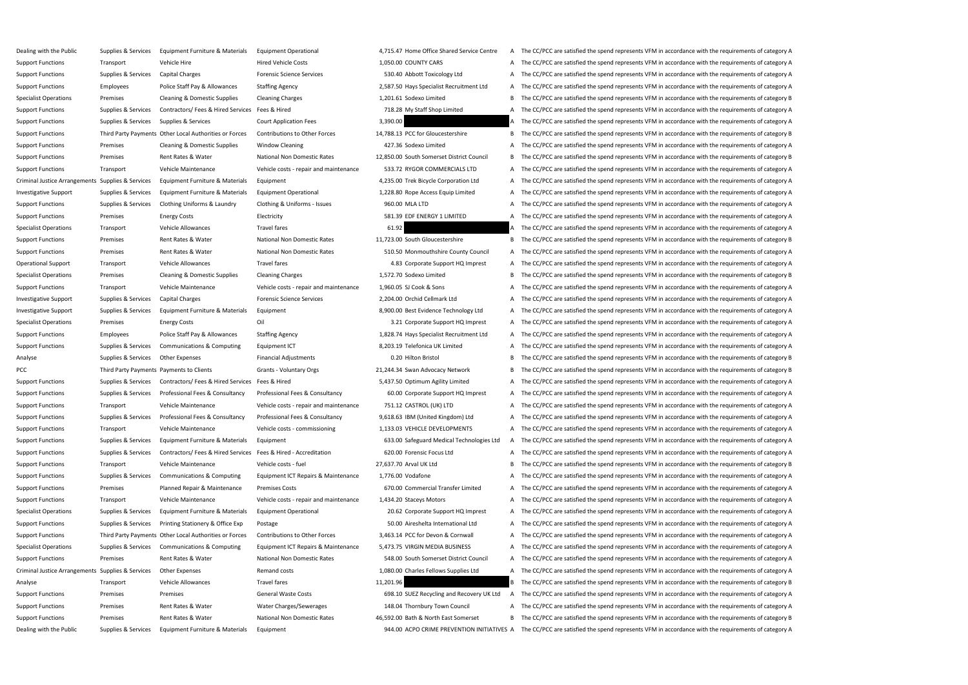| upport Functions<br>Transport<br>Vehicle Hire<br>Supplies & Services<br>upport Functions<br>Capital Charges<br>Police Staff Pay & Allowances<br>upport Functions<br><b>Employees</b><br>ecialist Operations<br>Premises<br>Cleaning & Domestic Supplies<br>Contractors/ Fees & Hired Services<br>upport Functions<br>Supplies & Services<br>Supplies & Services<br>upport Functions<br>Supplies & Services<br>upport Functions<br>Third Party Payments Other Local Authorities or Forces<br>upport Functions<br>Premises<br><b>Cleaning &amp; Domestic Supplies</b><br>upport Functions<br>Premises<br>Rent Rates & Water<br>upport Functions<br>Transport<br>Vehicle Maintenance<br>iminal Justice Arrangements Supplies & Services<br>Equipment Furniture & Materials<br>Supplies & Services<br>Equipment Furniture & Materials<br>vestigative Support<br>Supplies & Services<br>upport Functions<br>Clothing Uniforms & Laundry<br>upport Functions<br>Premises<br><b>Energy Costs</b><br>ecialist Operations<br><b>Vehicle Allowances</b><br>Transport<br>upport Functions<br>Premises<br>Rent Rates & Water<br>upport Functions<br>Premises<br>Rent Rates & Water<br>perational Support<br>Transport<br>Vehicle Allowances<br>becialist Operations<br><b>Cleaning &amp; Domestic Supplies</b><br>Premises<br>upport Functions<br>Transport<br>Vehicle Maintenance<br>vestigative Support<br>Supplies & Services<br>Capital Charges<br>Supplies & Services<br>vestigative Support<br>Equipment Furniture & Materials<br>pecialist Operations<br>Premises<br><b>Energy Costs</b><br>Police Staff Pay & Allowances<br>upport Functions<br><b>Employees</b><br>upport Functions<br>Supplies & Services<br>Communications & Computing<br>Supplies & Services<br>nalyse<br>Other Expenses<br>Third Party Payments Payments to Clients<br>CС<br>Contractors/ Fees & Hired Services<br>upport Functions<br>Supplies & Services<br>Supplies & Services<br>upport Functions<br>Professional Fees & Consultancy<br>upport Functions<br>Transport<br>Vehicle Maintenance<br>upport Functions<br>Supplies & Services<br>Professional Fees & Consultancy<br>upport Functions<br>Transport<br>Vehicle Maintenance<br>Supplies & Services<br>upport Functions<br>Equipment Furniture & Materials<br>Supplies & Services<br>Contractors/ Fees & Hired Services<br>upport Functions<br>upport Functions<br>Transport<br>Vehicle Maintenance<br>upport Functions<br>Supplies & Services<br>Communications & Computing<br>upport Functions<br>Premises<br>Planned Repair & Maintenance<br>Vehicle Maintenance<br>upport Functions<br>Transport<br>ecialist Operations<br>Supplies & Services<br>Equipment Furniture & Materials<br>Supplies & Services<br>Printing Stationery & Office Exp<br>upport Functions<br>Third Party Payments Other Local Authorities or Forces<br>upport Functions<br>becialist Operations<br>Supplies & Services<br>Communications & Computing<br>Rent Rates & Water<br>upport Functions<br>Premises<br>iminal Justice Arrangements Supplies & Services<br><b>Other Expenses</b><br><b>Vehicle Allowances</b><br>nalyse<br>Transport<br>upport Functions<br>Premises<br>Premises<br>upport Functions<br>Premises<br>Rent Rates & Water<br>upport Functions<br>Premises<br>Rent Rates & Water<br>ealing with the Public<br>Supplies & Services<br>Equipment Furniture & Materials | ealing with the Public | Supplies & Services | Equipment Furniture & Materials | Eq  |
|----------------------------------------------------------------------------------------------------------------------------------------------------------------------------------------------------------------------------------------------------------------------------------------------------------------------------------------------------------------------------------------------------------------------------------------------------------------------------------------------------------------------------------------------------------------------------------------------------------------------------------------------------------------------------------------------------------------------------------------------------------------------------------------------------------------------------------------------------------------------------------------------------------------------------------------------------------------------------------------------------------------------------------------------------------------------------------------------------------------------------------------------------------------------------------------------------------------------------------------------------------------------------------------------------------------------------------------------------------------------------------------------------------------------------------------------------------------------------------------------------------------------------------------------------------------------------------------------------------------------------------------------------------------------------------------------------------------------------------------------------------------------------------------------------------------------------------------------------------------------------------------------------------------------------------------------------------------------------------------------------------------------------------------------------------------------------------------------------------------------------------------------------------------------------------------------------------------------------------------------------------------------------------------------------------------------------------------------------------------------------------------------------------------------------------------------------------------------------------------------------------------------------------------------------------------------------------------------------------------------------------------------------------------------------------------------------------------------------------------------------------------------------------------------------------------------------------------------------------------------------------------------------------------------------------------------------------------------------------------------------------------------------------------------------------------------------------------------------------------------------------------------------------------------------------------------------------------------------------------------------------------------------------------------------------------------------------------------------------------------------------------------|------------------------|---------------------|---------------------------------|-----|
|                                                                                                                                                                                                                                                                                                                                                                                                                                                                                                                                                                                                                                                                                                                                                                                                                                                                                                                                                                                                                                                                                                                                                                                                                                                                                                                                                                                                                                                                                                                                                                                                                                                                                                                                                                                                                                                                                                                                                                                                                                                                                                                                                                                                                                                                                                                                                                                                                                                                                                                                                                                                                                                                                                                                                                                                                                                                                                                                                                                                                                                                                                                                                                                                                                                                                                                                                                                              |                        |                     |                                 | Hir |
|                                                                                                                                                                                                                                                                                                                                                                                                                                                                                                                                                                                                                                                                                                                                                                                                                                                                                                                                                                                                                                                                                                                                                                                                                                                                                                                                                                                                                                                                                                                                                                                                                                                                                                                                                                                                                                                                                                                                                                                                                                                                                                                                                                                                                                                                                                                                                                                                                                                                                                                                                                                                                                                                                                                                                                                                                                                                                                                                                                                                                                                                                                                                                                                                                                                                                                                                                                                              |                        |                     |                                 | Fo  |
|                                                                                                                                                                                                                                                                                                                                                                                                                                                                                                                                                                                                                                                                                                                                                                                                                                                                                                                                                                                                                                                                                                                                                                                                                                                                                                                                                                                                                                                                                                                                                                                                                                                                                                                                                                                                                                                                                                                                                                                                                                                                                                                                                                                                                                                                                                                                                                                                                                                                                                                                                                                                                                                                                                                                                                                                                                                                                                                                                                                                                                                                                                                                                                                                                                                                                                                                                                                              |                        |                     |                                 | Sta |
|                                                                                                                                                                                                                                                                                                                                                                                                                                                                                                                                                                                                                                                                                                                                                                                                                                                                                                                                                                                                                                                                                                                                                                                                                                                                                                                                                                                                                                                                                                                                                                                                                                                                                                                                                                                                                                                                                                                                                                                                                                                                                                                                                                                                                                                                                                                                                                                                                                                                                                                                                                                                                                                                                                                                                                                                                                                                                                                                                                                                                                                                                                                                                                                                                                                                                                                                                                                              |                        |                     |                                 | Cle |
|                                                                                                                                                                                                                                                                                                                                                                                                                                                                                                                                                                                                                                                                                                                                                                                                                                                                                                                                                                                                                                                                                                                                                                                                                                                                                                                                                                                                                                                                                                                                                                                                                                                                                                                                                                                                                                                                                                                                                                                                                                                                                                                                                                                                                                                                                                                                                                                                                                                                                                                                                                                                                                                                                                                                                                                                                                                                                                                                                                                                                                                                                                                                                                                                                                                                                                                                                                                              |                        |                     |                                 | Fe  |
|                                                                                                                                                                                                                                                                                                                                                                                                                                                                                                                                                                                                                                                                                                                                                                                                                                                                                                                                                                                                                                                                                                                                                                                                                                                                                                                                                                                                                                                                                                                                                                                                                                                                                                                                                                                                                                                                                                                                                                                                                                                                                                                                                                                                                                                                                                                                                                                                                                                                                                                                                                                                                                                                                                                                                                                                                                                                                                                                                                                                                                                                                                                                                                                                                                                                                                                                                                                              |                        |                     |                                 | Co  |
|                                                                                                                                                                                                                                                                                                                                                                                                                                                                                                                                                                                                                                                                                                                                                                                                                                                                                                                                                                                                                                                                                                                                                                                                                                                                                                                                                                                                                                                                                                                                                                                                                                                                                                                                                                                                                                                                                                                                                                                                                                                                                                                                                                                                                                                                                                                                                                                                                                                                                                                                                                                                                                                                                                                                                                                                                                                                                                                                                                                                                                                                                                                                                                                                                                                                                                                                                                                              |                        |                     |                                 | Co  |
|                                                                                                                                                                                                                                                                                                                                                                                                                                                                                                                                                                                                                                                                                                                                                                                                                                                                                                                                                                                                                                                                                                                                                                                                                                                                                                                                                                                                                                                                                                                                                                                                                                                                                                                                                                                                                                                                                                                                                                                                                                                                                                                                                                                                                                                                                                                                                                                                                                                                                                                                                                                                                                                                                                                                                                                                                                                                                                                                                                                                                                                                                                                                                                                                                                                                                                                                                                                              |                        |                     |                                 | Wi  |
|                                                                                                                                                                                                                                                                                                                                                                                                                                                                                                                                                                                                                                                                                                                                                                                                                                                                                                                                                                                                                                                                                                                                                                                                                                                                                                                                                                                                                                                                                                                                                                                                                                                                                                                                                                                                                                                                                                                                                                                                                                                                                                                                                                                                                                                                                                                                                                                                                                                                                                                                                                                                                                                                                                                                                                                                                                                                                                                                                                                                                                                                                                                                                                                                                                                                                                                                                                                              |                        |                     |                                 | Na  |
|                                                                                                                                                                                                                                                                                                                                                                                                                                                                                                                                                                                                                                                                                                                                                                                                                                                                                                                                                                                                                                                                                                                                                                                                                                                                                                                                                                                                                                                                                                                                                                                                                                                                                                                                                                                                                                                                                                                                                                                                                                                                                                                                                                                                                                                                                                                                                                                                                                                                                                                                                                                                                                                                                                                                                                                                                                                                                                                                                                                                                                                                                                                                                                                                                                                                                                                                                                                              |                        |                     |                                 | Ve  |
|                                                                                                                                                                                                                                                                                                                                                                                                                                                                                                                                                                                                                                                                                                                                                                                                                                                                                                                                                                                                                                                                                                                                                                                                                                                                                                                                                                                                                                                                                                                                                                                                                                                                                                                                                                                                                                                                                                                                                                                                                                                                                                                                                                                                                                                                                                                                                                                                                                                                                                                                                                                                                                                                                                                                                                                                                                                                                                                                                                                                                                                                                                                                                                                                                                                                                                                                                                                              |                        |                     |                                 | Eq  |
|                                                                                                                                                                                                                                                                                                                                                                                                                                                                                                                                                                                                                                                                                                                                                                                                                                                                                                                                                                                                                                                                                                                                                                                                                                                                                                                                                                                                                                                                                                                                                                                                                                                                                                                                                                                                                                                                                                                                                                                                                                                                                                                                                                                                                                                                                                                                                                                                                                                                                                                                                                                                                                                                                                                                                                                                                                                                                                                                                                                                                                                                                                                                                                                                                                                                                                                                                                                              |                        |                     |                                 | Eq  |
|                                                                                                                                                                                                                                                                                                                                                                                                                                                                                                                                                                                                                                                                                                                                                                                                                                                                                                                                                                                                                                                                                                                                                                                                                                                                                                                                                                                                                                                                                                                                                                                                                                                                                                                                                                                                                                                                                                                                                                                                                                                                                                                                                                                                                                                                                                                                                                                                                                                                                                                                                                                                                                                                                                                                                                                                                                                                                                                                                                                                                                                                                                                                                                                                                                                                                                                                                                                              |                        |                     |                                 | Clo |
|                                                                                                                                                                                                                                                                                                                                                                                                                                                                                                                                                                                                                                                                                                                                                                                                                                                                                                                                                                                                                                                                                                                                                                                                                                                                                                                                                                                                                                                                                                                                                                                                                                                                                                                                                                                                                                                                                                                                                                                                                                                                                                                                                                                                                                                                                                                                                                                                                                                                                                                                                                                                                                                                                                                                                                                                                                                                                                                                                                                                                                                                                                                                                                                                                                                                                                                                                                                              |                        |                     |                                 | Ele |
|                                                                                                                                                                                                                                                                                                                                                                                                                                                                                                                                                                                                                                                                                                                                                                                                                                                                                                                                                                                                                                                                                                                                                                                                                                                                                                                                                                                                                                                                                                                                                                                                                                                                                                                                                                                                                                                                                                                                                                                                                                                                                                                                                                                                                                                                                                                                                                                                                                                                                                                                                                                                                                                                                                                                                                                                                                                                                                                                                                                                                                                                                                                                                                                                                                                                                                                                                                                              |                        |                     |                                 | Tra |
|                                                                                                                                                                                                                                                                                                                                                                                                                                                                                                                                                                                                                                                                                                                                                                                                                                                                                                                                                                                                                                                                                                                                                                                                                                                                                                                                                                                                                                                                                                                                                                                                                                                                                                                                                                                                                                                                                                                                                                                                                                                                                                                                                                                                                                                                                                                                                                                                                                                                                                                                                                                                                                                                                                                                                                                                                                                                                                                                                                                                                                                                                                                                                                                                                                                                                                                                                                                              |                        |                     |                                 | Na  |
|                                                                                                                                                                                                                                                                                                                                                                                                                                                                                                                                                                                                                                                                                                                                                                                                                                                                                                                                                                                                                                                                                                                                                                                                                                                                                                                                                                                                                                                                                                                                                                                                                                                                                                                                                                                                                                                                                                                                                                                                                                                                                                                                                                                                                                                                                                                                                                                                                                                                                                                                                                                                                                                                                                                                                                                                                                                                                                                                                                                                                                                                                                                                                                                                                                                                                                                                                                                              |                        |                     |                                 | Na  |
|                                                                                                                                                                                                                                                                                                                                                                                                                                                                                                                                                                                                                                                                                                                                                                                                                                                                                                                                                                                                                                                                                                                                                                                                                                                                                                                                                                                                                                                                                                                                                                                                                                                                                                                                                                                                                                                                                                                                                                                                                                                                                                                                                                                                                                                                                                                                                                                                                                                                                                                                                                                                                                                                                                                                                                                                                                                                                                                                                                                                                                                                                                                                                                                                                                                                                                                                                                                              |                        |                     |                                 | Tra |
|                                                                                                                                                                                                                                                                                                                                                                                                                                                                                                                                                                                                                                                                                                                                                                                                                                                                                                                                                                                                                                                                                                                                                                                                                                                                                                                                                                                                                                                                                                                                                                                                                                                                                                                                                                                                                                                                                                                                                                                                                                                                                                                                                                                                                                                                                                                                                                                                                                                                                                                                                                                                                                                                                                                                                                                                                                                                                                                                                                                                                                                                                                                                                                                                                                                                                                                                                                                              |                        |                     |                                 | Cle |
|                                                                                                                                                                                                                                                                                                                                                                                                                                                                                                                                                                                                                                                                                                                                                                                                                                                                                                                                                                                                                                                                                                                                                                                                                                                                                                                                                                                                                                                                                                                                                                                                                                                                                                                                                                                                                                                                                                                                                                                                                                                                                                                                                                                                                                                                                                                                                                                                                                                                                                                                                                                                                                                                                                                                                                                                                                                                                                                                                                                                                                                                                                                                                                                                                                                                                                                                                                                              |                        |                     |                                 | Ve  |
|                                                                                                                                                                                                                                                                                                                                                                                                                                                                                                                                                                                                                                                                                                                                                                                                                                                                                                                                                                                                                                                                                                                                                                                                                                                                                                                                                                                                                                                                                                                                                                                                                                                                                                                                                                                                                                                                                                                                                                                                                                                                                                                                                                                                                                                                                                                                                                                                                                                                                                                                                                                                                                                                                                                                                                                                                                                                                                                                                                                                                                                                                                                                                                                                                                                                                                                                                                                              |                        |                     |                                 | Fo  |
|                                                                                                                                                                                                                                                                                                                                                                                                                                                                                                                                                                                                                                                                                                                                                                                                                                                                                                                                                                                                                                                                                                                                                                                                                                                                                                                                                                                                                                                                                                                                                                                                                                                                                                                                                                                                                                                                                                                                                                                                                                                                                                                                                                                                                                                                                                                                                                                                                                                                                                                                                                                                                                                                                                                                                                                                                                                                                                                                                                                                                                                                                                                                                                                                                                                                                                                                                                                              |                        |                     |                                 | Eq  |
|                                                                                                                                                                                                                                                                                                                                                                                                                                                                                                                                                                                                                                                                                                                                                                                                                                                                                                                                                                                                                                                                                                                                                                                                                                                                                                                                                                                                                                                                                                                                                                                                                                                                                                                                                                                                                                                                                                                                                                                                                                                                                                                                                                                                                                                                                                                                                                                                                                                                                                                                                                                                                                                                                                                                                                                                                                                                                                                                                                                                                                                                                                                                                                                                                                                                                                                                                                                              |                        |                     |                                 | Oil |
|                                                                                                                                                                                                                                                                                                                                                                                                                                                                                                                                                                                                                                                                                                                                                                                                                                                                                                                                                                                                                                                                                                                                                                                                                                                                                                                                                                                                                                                                                                                                                                                                                                                                                                                                                                                                                                                                                                                                                                                                                                                                                                                                                                                                                                                                                                                                                                                                                                                                                                                                                                                                                                                                                                                                                                                                                                                                                                                                                                                                                                                                                                                                                                                                                                                                                                                                                                                              |                        |                     |                                 | Sta |
|                                                                                                                                                                                                                                                                                                                                                                                                                                                                                                                                                                                                                                                                                                                                                                                                                                                                                                                                                                                                                                                                                                                                                                                                                                                                                                                                                                                                                                                                                                                                                                                                                                                                                                                                                                                                                                                                                                                                                                                                                                                                                                                                                                                                                                                                                                                                                                                                                                                                                                                                                                                                                                                                                                                                                                                                                                                                                                                                                                                                                                                                                                                                                                                                                                                                                                                                                                                              |                        |                     |                                 | Eq  |
|                                                                                                                                                                                                                                                                                                                                                                                                                                                                                                                                                                                                                                                                                                                                                                                                                                                                                                                                                                                                                                                                                                                                                                                                                                                                                                                                                                                                                                                                                                                                                                                                                                                                                                                                                                                                                                                                                                                                                                                                                                                                                                                                                                                                                                                                                                                                                                                                                                                                                                                                                                                                                                                                                                                                                                                                                                                                                                                                                                                                                                                                                                                                                                                                                                                                                                                                                                                              |                        |                     |                                 | Fir |
|                                                                                                                                                                                                                                                                                                                                                                                                                                                                                                                                                                                                                                                                                                                                                                                                                                                                                                                                                                                                                                                                                                                                                                                                                                                                                                                                                                                                                                                                                                                                                                                                                                                                                                                                                                                                                                                                                                                                                                                                                                                                                                                                                                                                                                                                                                                                                                                                                                                                                                                                                                                                                                                                                                                                                                                                                                                                                                                                                                                                                                                                                                                                                                                                                                                                                                                                                                                              |                        |                     |                                 | Gr  |
|                                                                                                                                                                                                                                                                                                                                                                                                                                                                                                                                                                                                                                                                                                                                                                                                                                                                                                                                                                                                                                                                                                                                                                                                                                                                                                                                                                                                                                                                                                                                                                                                                                                                                                                                                                                                                                                                                                                                                                                                                                                                                                                                                                                                                                                                                                                                                                                                                                                                                                                                                                                                                                                                                                                                                                                                                                                                                                                                                                                                                                                                                                                                                                                                                                                                                                                                                                                              |                        |                     |                                 | Fe  |
|                                                                                                                                                                                                                                                                                                                                                                                                                                                                                                                                                                                                                                                                                                                                                                                                                                                                                                                                                                                                                                                                                                                                                                                                                                                                                                                                                                                                                                                                                                                                                                                                                                                                                                                                                                                                                                                                                                                                                                                                                                                                                                                                                                                                                                                                                                                                                                                                                                                                                                                                                                                                                                                                                                                                                                                                                                                                                                                                                                                                                                                                                                                                                                                                                                                                                                                                                                                              |                        |                     |                                 | Pro |
|                                                                                                                                                                                                                                                                                                                                                                                                                                                                                                                                                                                                                                                                                                                                                                                                                                                                                                                                                                                                                                                                                                                                                                                                                                                                                                                                                                                                                                                                                                                                                                                                                                                                                                                                                                                                                                                                                                                                                                                                                                                                                                                                                                                                                                                                                                                                                                                                                                                                                                                                                                                                                                                                                                                                                                                                                                                                                                                                                                                                                                                                                                                                                                                                                                                                                                                                                                                              |                        |                     |                                 | Ve  |
|                                                                                                                                                                                                                                                                                                                                                                                                                                                                                                                                                                                                                                                                                                                                                                                                                                                                                                                                                                                                                                                                                                                                                                                                                                                                                                                                                                                                                                                                                                                                                                                                                                                                                                                                                                                                                                                                                                                                                                                                                                                                                                                                                                                                                                                                                                                                                                                                                                                                                                                                                                                                                                                                                                                                                                                                                                                                                                                                                                                                                                                                                                                                                                                                                                                                                                                                                                                              |                        |                     |                                 | Pro |
|                                                                                                                                                                                                                                                                                                                                                                                                                                                                                                                                                                                                                                                                                                                                                                                                                                                                                                                                                                                                                                                                                                                                                                                                                                                                                                                                                                                                                                                                                                                                                                                                                                                                                                                                                                                                                                                                                                                                                                                                                                                                                                                                                                                                                                                                                                                                                                                                                                                                                                                                                                                                                                                                                                                                                                                                                                                                                                                                                                                                                                                                                                                                                                                                                                                                                                                                                                                              |                        |                     |                                 | Ve  |
|                                                                                                                                                                                                                                                                                                                                                                                                                                                                                                                                                                                                                                                                                                                                                                                                                                                                                                                                                                                                                                                                                                                                                                                                                                                                                                                                                                                                                                                                                                                                                                                                                                                                                                                                                                                                                                                                                                                                                                                                                                                                                                                                                                                                                                                                                                                                                                                                                                                                                                                                                                                                                                                                                                                                                                                                                                                                                                                                                                                                                                                                                                                                                                                                                                                                                                                                                                                              |                        |                     |                                 | Eq  |
|                                                                                                                                                                                                                                                                                                                                                                                                                                                                                                                                                                                                                                                                                                                                                                                                                                                                                                                                                                                                                                                                                                                                                                                                                                                                                                                                                                                                                                                                                                                                                                                                                                                                                                                                                                                                                                                                                                                                                                                                                                                                                                                                                                                                                                                                                                                                                                                                                                                                                                                                                                                                                                                                                                                                                                                                                                                                                                                                                                                                                                                                                                                                                                                                                                                                                                                                                                                              |                        |                     |                                 | Fe  |
|                                                                                                                                                                                                                                                                                                                                                                                                                                                                                                                                                                                                                                                                                                                                                                                                                                                                                                                                                                                                                                                                                                                                                                                                                                                                                                                                                                                                                                                                                                                                                                                                                                                                                                                                                                                                                                                                                                                                                                                                                                                                                                                                                                                                                                                                                                                                                                                                                                                                                                                                                                                                                                                                                                                                                                                                                                                                                                                                                                                                                                                                                                                                                                                                                                                                                                                                                                                              |                        |                     |                                 | Ve  |
|                                                                                                                                                                                                                                                                                                                                                                                                                                                                                                                                                                                                                                                                                                                                                                                                                                                                                                                                                                                                                                                                                                                                                                                                                                                                                                                                                                                                                                                                                                                                                                                                                                                                                                                                                                                                                                                                                                                                                                                                                                                                                                                                                                                                                                                                                                                                                                                                                                                                                                                                                                                                                                                                                                                                                                                                                                                                                                                                                                                                                                                                                                                                                                                                                                                                                                                                                                                              |                        |                     |                                 | Eq  |
|                                                                                                                                                                                                                                                                                                                                                                                                                                                                                                                                                                                                                                                                                                                                                                                                                                                                                                                                                                                                                                                                                                                                                                                                                                                                                                                                                                                                                                                                                                                                                                                                                                                                                                                                                                                                                                                                                                                                                                                                                                                                                                                                                                                                                                                                                                                                                                                                                                                                                                                                                                                                                                                                                                                                                                                                                                                                                                                                                                                                                                                                                                                                                                                                                                                                                                                                                                                              |                        |                     |                                 | Pre |
|                                                                                                                                                                                                                                                                                                                                                                                                                                                                                                                                                                                                                                                                                                                                                                                                                                                                                                                                                                                                                                                                                                                                                                                                                                                                                                                                                                                                                                                                                                                                                                                                                                                                                                                                                                                                                                                                                                                                                                                                                                                                                                                                                                                                                                                                                                                                                                                                                                                                                                                                                                                                                                                                                                                                                                                                                                                                                                                                                                                                                                                                                                                                                                                                                                                                                                                                                                                              |                        |                     |                                 | Ve  |
|                                                                                                                                                                                                                                                                                                                                                                                                                                                                                                                                                                                                                                                                                                                                                                                                                                                                                                                                                                                                                                                                                                                                                                                                                                                                                                                                                                                                                                                                                                                                                                                                                                                                                                                                                                                                                                                                                                                                                                                                                                                                                                                                                                                                                                                                                                                                                                                                                                                                                                                                                                                                                                                                                                                                                                                                                                                                                                                                                                                                                                                                                                                                                                                                                                                                                                                                                                                              |                        |                     |                                 | Eq  |
|                                                                                                                                                                                                                                                                                                                                                                                                                                                                                                                                                                                                                                                                                                                                                                                                                                                                                                                                                                                                                                                                                                                                                                                                                                                                                                                                                                                                                                                                                                                                                                                                                                                                                                                                                                                                                                                                                                                                                                                                                                                                                                                                                                                                                                                                                                                                                                                                                                                                                                                                                                                                                                                                                                                                                                                                                                                                                                                                                                                                                                                                                                                                                                                                                                                                                                                                                                                              |                        |                     |                                 | Po  |
|                                                                                                                                                                                                                                                                                                                                                                                                                                                                                                                                                                                                                                                                                                                                                                                                                                                                                                                                                                                                                                                                                                                                                                                                                                                                                                                                                                                                                                                                                                                                                                                                                                                                                                                                                                                                                                                                                                                                                                                                                                                                                                                                                                                                                                                                                                                                                                                                                                                                                                                                                                                                                                                                                                                                                                                                                                                                                                                                                                                                                                                                                                                                                                                                                                                                                                                                                                                              |                        |                     |                                 | Co  |
|                                                                                                                                                                                                                                                                                                                                                                                                                                                                                                                                                                                                                                                                                                                                                                                                                                                                                                                                                                                                                                                                                                                                                                                                                                                                                                                                                                                                                                                                                                                                                                                                                                                                                                                                                                                                                                                                                                                                                                                                                                                                                                                                                                                                                                                                                                                                                                                                                                                                                                                                                                                                                                                                                                                                                                                                                                                                                                                                                                                                                                                                                                                                                                                                                                                                                                                                                                                              |                        |                     |                                 | Eq  |
|                                                                                                                                                                                                                                                                                                                                                                                                                                                                                                                                                                                                                                                                                                                                                                                                                                                                                                                                                                                                                                                                                                                                                                                                                                                                                                                                                                                                                                                                                                                                                                                                                                                                                                                                                                                                                                                                                                                                                                                                                                                                                                                                                                                                                                                                                                                                                                                                                                                                                                                                                                                                                                                                                                                                                                                                                                                                                                                                                                                                                                                                                                                                                                                                                                                                                                                                                                                              |                        |                     |                                 | Na  |
|                                                                                                                                                                                                                                                                                                                                                                                                                                                                                                                                                                                                                                                                                                                                                                                                                                                                                                                                                                                                                                                                                                                                                                                                                                                                                                                                                                                                                                                                                                                                                                                                                                                                                                                                                                                                                                                                                                                                                                                                                                                                                                                                                                                                                                                                                                                                                                                                                                                                                                                                                                                                                                                                                                                                                                                                                                                                                                                                                                                                                                                                                                                                                                                                                                                                                                                                                                                              |                        |                     |                                 | Re  |
|                                                                                                                                                                                                                                                                                                                                                                                                                                                                                                                                                                                                                                                                                                                                                                                                                                                                                                                                                                                                                                                                                                                                                                                                                                                                                                                                                                                                                                                                                                                                                                                                                                                                                                                                                                                                                                                                                                                                                                                                                                                                                                                                                                                                                                                                                                                                                                                                                                                                                                                                                                                                                                                                                                                                                                                                                                                                                                                                                                                                                                                                                                                                                                                                                                                                                                                                                                                              |                        |                     |                                 | Tra |
|                                                                                                                                                                                                                                                                                                                                                                                                                                                                                                                                                                                                                                                                                                                                                                                                                                                                                                                                                                                                                                                                                                                                                                                                                                                                                                                                                                                                                                                                                                                                                                                                                                                                                                                                                                                                                                                                                                                                                                                                                                                                                                                                                                                                                                                                                                                                                                                                                                                                                                                                                                                                                                                                                                                                                                                                                                                                                                                                                                                                                                                                                                                                                                                                                                                                                                                                                                                              |                        |                     |                                 | Ge  |
|                                                                                                                                                                                                                                                                                                                                                                                                                                                                                                                                                                                                                                                                                                                                                                                                                                                                                                                                                                                                                                                                                                                                                                                                                                                                                                                                                                                                                                                                                                                                                                                                                                                                                                                                                                                                                                                                                                                                                                                                                                                                                                                                                                                                                                                                                                                                                                                                                                                                                                                                                                                                                                                                                                                                                                                                                                                                                                                                                                                                                                                                                                                                                                                                                                                                                                                                                                                              |                        |                     |                                 | w.  |
|                                                                                                                                                                                                                                                                                                                                                                                                                                                                                                                                                                                                                                                                                                                                                                                                                                                                                                                                                                                                                                                                                                                                                                                                                                                                                                                                                                                                                                                                                                                                                                                                                                                                                                                                                                                                                                                                                                                                                                                                                                                                                                                                                                                                                                                                                                                                                                                                                                                                                                                                                                                                                                                                                                                                                                                                                                                                                                                                                                                                                                                                                                                                                                                                                                                                                                                                                                                              |                        |                     |                                 | Na  |
|                                                                                                                                                                                                                                                                                                                                                                                                                                                                                                                                                                                                                                                                                                                                                                                                                                                                                                                                                                                                                                                                                                                                                                                                                                                                                                                                                                                                                                                                                                                                                                                                                                                                                                                                                                                                                                                                                                                                                                                                                                                                                                                                                                                                                                                                                                                                                                                                                                                                                                                                                                                                                                                                                                                                                                                                                                                                                                                                                                                                                                                                                                                                                                                                                                                                                                                                                                                              |                        |                     |                                 | Eq  |

uipment Operational example to the 4.715.47 Home Office Shared Service Centre A The CC/PCC are satisfied the spend represents VFM in accordance with the requirements of category A Functions Transport Transport Transport Transport Transport Conserved Vehicle Hire A The CC/PCC are satisfied the spend represents VFM in accordance with the requirements of category A rensic Science Services **A Charges To Supplies Capital Charges** Charges Forensic Science Services 530.40 Abbott Toxicology Ltd A The CC/PCC are satisfied the spend represents VFM in accordance with the requirements of cate affing Agency **Employees Accord Pay Allowances Police States A** The CC/PCC are satisfied the spend represents VFM in accordance with the requirements of category A Experime Cleaning Charges Cleaning Charges Cleaning Charges 1,201.61 Sodexo Limited B The CC/PCC are satisfied the spend represents VFM in accordance with the requirements of category B es & Hired **A The CONTRACT CONTRACT CONTRACT CONTRACT** A The CC/PCC are satisfied the spend represents VFM in accordance with the requirements of category A ourt Application Fees **A Supplies A SUPPLICES A** The CC/PCC are satisfied the spend represents VFM in accordance with the requirements of category A ntributions to Other Forces 14,788.13 PCC for Gloucestershire B The CC/PCC are satisfied the spend represents VFM in accordance with the requirements of category B indow Cleaning **A The CONTA THE CONTA THE CONTA The CC**/PCC are satisfied the spend represents VFM in accordance with the requirements of category A The CONTA The CC/PCC are satisfied the spend represents VFM in accordance Istional Non Domestic Rates **12,850.00 South Somerset District Council** B The CC/PCC are satisfied the spend represents VFM in accordance with the requirements of category B hicle costs - repair and maintenance 533.72 RYGOR COMMERCIALS LTD A The CC/PCC are satisfied the spend represents VFM in accordance with the requirements of category A 4,235.00 Trek Bicycle Corporation Ltd A The CC/PCC are satisfied the spend represents VFM in accordance with the requirements of category A uipment Operational and the requirements of category A Cube 1.228.80 Rope Access Equip Limited A The CC/PCC are satisfied the spend represents VFM in accordance with the requirements of category A othing & Uniforms - Issues **A The CC/PCC are satisfied the spend represents VFM** in accordance with the requirements of category A Ectricity SAL39 EDF ENERGY 1 LIMITED A The CC/PCC are satisfied the spend represents VFM in accordance with the requirements of category A avel fares and the CC/PCC are satisfied the spend represents VFM in accordance with the requirements of category A tional Non Domestic Rates **11,723.00** South Gloucestershire B The CC/PCC are satisfied the spend represents VFM in accordance with the requirements of category B Itional Non Domestic Rates **Action Comests Action** S510.50 Monmouthshire County Council A The CC/PCC are satisfied the spend represents VFM in accordance with the requirements of category A avel fares Transport Allowances Transport HQ Imprest A The CC/PCC are satisfied the spend represents VFM in accordance with the requirements of category A Examing Charges Special Cleaning Charges Cleaning Charges 1,572.70 Sodexo Limited B The CC/PCC are satisfied the spend represents VFM in accordance with the requirements of category B hicle costs - repair and maintenance 1,960.05 SJ Cook & Sons A The CC/PCC are satisfied the spend represents VFM in accordance with the requirements of category A Investigative Support Support Support Support Supplies A The CC/PCC are satisfied the spend represents VFM in accordance with the requirements of category A The CC/PCC are satisfied the spend represents VFM in accordance w uipment Support Supplies Bupplies & Services Equipment Furniture Technology Ltd A The CC/PCC are satisfied the spend represents VFM in accordance with the requirements of category A 3.21 Corporate Support HQ Imprest A The CC/PCC are satisfied the spend represents VFM in accordance with the requirements of category A affing Agency **Employees Act Act Act Act A** The CC/PCC are satisfied the spend represents VFM in accordance with the requirements of category A uipment ICT **A The CONTS A THE CONTS A THE CONTS A** The CC/PCC are satisfied the spend represents VFM in accordance with the requirements of category A ancial Adjustments **Supplies COLO Hilton Bristol** B The CC/PCC are satisfied the spend represents VFM in accordance with the requirements of category B ants - Voluntary Orgs **21,244.34** Swan Advocacy Network B The CC/PCC are satisfied the spend represents VFM in accordance with the requirements of category B es & Hired Support Functions Supplies Supplies Services Contractors A The CC/PCC are satisfied the spend represents VFM in accordance with the requirements of category A ofessional Fees & Consultancy **SCOU Corporate Support HQ Imprest** A The CC/PCC are satisfied the spend represents VFM in accordance with the requirements of category A hicle costs - repair and maintenance 751.12 CASTROL (UK) LTD A The CC/PCC are satisfied the spend represents VFM in accordance with the requirements of category A ofessional Fees & Consultancy **1.12 Consultancy** 5,618.63 IBM (United Kingdom) Ltd A The CC/PCC are satisfied the spend represents VFM in accordance with the requirements of category A hicle costs - commissioning **1,133.03 VEHICLE DEVELOPMENTS** A The CC/PCC are satisfied the spend represents VFM in accordance with the requirements of category A uipment Functions Supplies A Supplies A Service A Material Technologies Ltd A The CC/PCC are satisfied the spend represents VFM in accordance with the requirements of category A es & Hired - Accreditation 620.00 Forensic Focus Ltd A The CC/PCC are satisfied the spend represents VFM in accordance with the requirements of category A hicle costs - fuel **Support Contrary Contrary 27,637.70** Arval UK Ltd B The CC/PCC are satisfied the spend represents VFM in accordance with the requirements of category B uipment ICT Repairs & Maintenance 1,776.00 Vodafone 4 The CC/PCC are satisfied the spend represents VFM in accordance with the requirements of category A emises Costs **A The CONAINT A THE CONTEGON A The CC/PCC** are satisfied the spend represents VFM in accordance with the requirements of category A hicle costs - repair and maintenance 1,434.20 Staceys Motors A The CC/PCC are satisfied the spend represents VFM in accordance with the requirements of category A uipment Operational 20.62 Corporate Support HQ Imprest A The CC/PCC are satisfied the spend represents VFM in accordance with the requirements of category A Support Functions Support Functions Supplies A The CC/PCC are satisfied the spend represents VFM in accordance with the requirements of category A ntributions to Other Forces 3,463.14 PCC for Devon & Cornwall A The CC/PCC are satisfied the spend represents VFM in accordance with the requirements of category A uipment ICT Repairs & Maintenance 5,473.75 VIRGIN MEDIA BUSINESS And The CC/PCC are satisfied the spend represents VFM in accordance with the requirements of category A Itional Non Domestic Rates **8.20 A. Equation** Sates 8548.00 South Somerset District Council A The CC/PCC are satisfied the spend represents VFM in accordance with the requirements of category A mand costs **Expenses Arrangements Other Expenses Arrangements Criminal Costs** 1,080.00 Charles Fellows Supplies Ltd A The CC/PCC are satisfied the spend represents VFM in accordance with the requirements of category A avel fares and the requirements of category B Travel fares Travel fares 11,201.96 B The CC/PCC are satisfied the spend represents VFM in accordance with the requirements of category B neral Waste Costs **Example 2018.** The Coveral A The CC/PCC are satisfied the spend represents VFM in accordance with the requirements of category A ater Charges/Sewerages **A Cultions Premises A The CC/PCC** are satisfied the spend represents VFM in accordance with the requirements of category A tional Non Domestic Rates **AG,592.00 Bath & North East Somerset** B The CC/PCC are satisfied the spend represents VFM in accordance with the requirements of category B 944.00 ACPO CRIME PREVENTION INITIATIVES A The CC/PCC are satisfied the spend represents VFM in accordance with the requirements of category A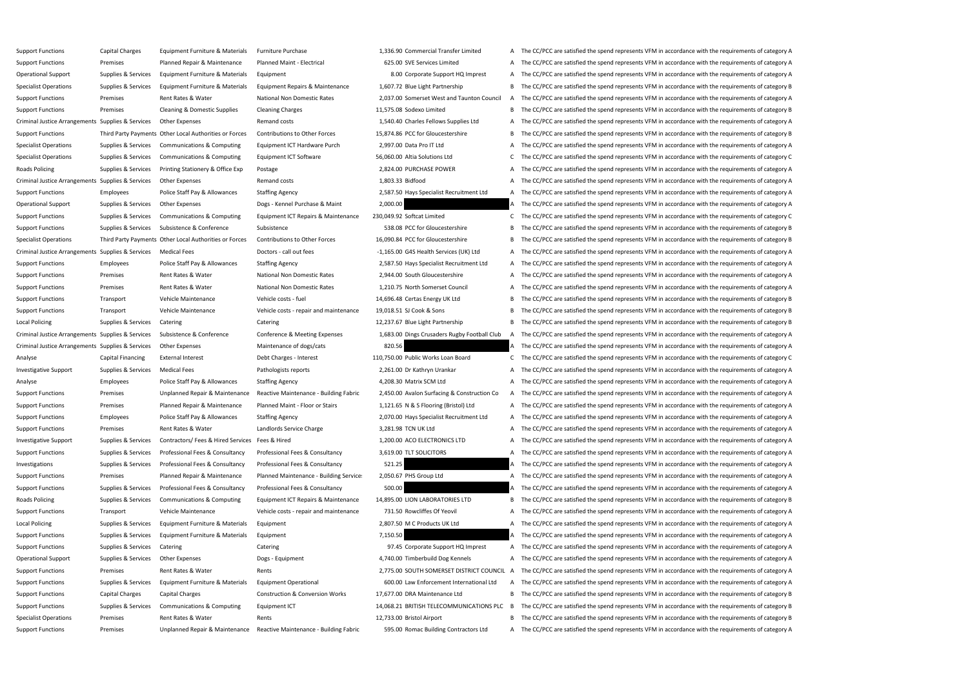Support Functions Capital Charges Equipment Furniture & Materials Furniture Purchase 1,336.90 Commercial Transfer Limited A The CC/PCC are satisfied the spend represents VFM in accordance with the requirements of category Support Functions Premises Planned Repair & Maintenance Planned Maint - Electrical 625.00 SVE Services Limited A The CC/PCC are satisfied the spend represents VFM in accordance with the requirements of category A Operational Support Supplies & Services Equipment Furniture & Materials Equipment 8. 8.00 Corporate Support HQ Imprest A The CC/PCC are satisfied the spend represents VFM in accordance with the requirements of category A Specialist Operations Supplies & Services Equipment Furniture & Materials Equipment Repairs & Maintenance 1,607.72 Blue Light Partnership B The CC/PCC are satisfied the spend represents VFM in accordance with the requireme Support Functions Premises Rent Rates & Water National Non Domestic Rates 2,037.00 Somerset West and Taunton Council A The CC/PCC are satisfied the spend represents VFM in accordance with the requirements of category A Support Functions Premises Cleaning & Domestic Supplies Cleaning Charges 11,575.08 Sodexo Limited B The CC/PCC are satisfied the spend represents VFM in accordance with the requirements of category B Criminal Justice Arrangements Supplies & Services Other Expenses Remand costs Remand costs 1,540.40 Charles Fellows Supplies Ltd A The CC/PCC are satisfied the spend represents VFM in accordance with the requirements of ca Support Functions Third Party Payments Other Local Authorities or Forces Contributions to Other Forces 15,874.86 PCC for Gloucestershire B The CC/PCC are satisfied the spend represents VFM in accordance with the requiremen Specialist Operations Supplies & Services Communications & Computing Equipment ICT Hardware Purch 2,997.00 Data Pro IT Ltd A The CC/PCC are satisfied the spend represents VFM in accordance with the requirements of category Specialist Operations Supplies & Services Communications & Computing Equipment ICT Software 56,060.00 Altia Solutions Ltd C The CC/PCC are satisfied the spend represents VFM in accordance with the requirements of category Roads Policing Supplies & Services Printing Stationery & Office Exp Postage Postage 2,824.00 PURCHASE POWER A The CC/PCC are satisfied the spend represents VFM in accordance with the requirements of category A Criminal Justice Arrangements Supplies & Services Other Expenses Remand costs Remand costs 1,803.33 Bidfood A The CC/PCC are satisfied the spend represents VFM in accordance with the requirements of category A Support Functions Employees Police Staff Pay & Allowances Staffing Agency 2,587.50 Hays Specialist Recruitment Ltd A The CC/PCC are satisfied the spend represents VFM in accordance with the requirements of category A Operational Support Supplies & Services Other Expenses Dogs - Kennel Purchase & Maint 2,000.00 A The CC/PCC are satisfied the spend represents VFM in accordance with the requirements of category A Support Functions Supplies & Services Communications & Computing Equipment ICT Repairs & Maintenance 230,049.92 Softcat Limited C The CC/PCC are satisfied the spend represents VFM in accordance with the requirements of cat Support Functions Supplies & Services Subsistence & Conference Subsistence Subsistence Subsistence Subsistence Subsistence Subsistence Subsistence Subsistence Subsistence Subsistence Subsistence Subsistence Subsistence Sub Specialist Operations Third Party Payments Other Local Authorities or Forces Contributions to Other Forces 16,090.84 PCC for Gloucestershire B The CC/PCC are satisfied the spend represents VFM in accordance with the requir Criminal Justice Arrangements Supplies & Services Medical Fees Doctors - call out fees Doctors - call out fees 1,165.00 G4S Health Services (UK) Ltd A The CC/PCC are satisfied the spend represents VFM in accordance with th Support Functions Employees Police Staff Pay & Allowances Staffing Agency 2,587.50 Hays Specialist Recruitment Ltd A The CC/PCC are satisfied the spend represents VFM in accordance with the requirements of category A Support Functions Premises Rent Rates & Water National Non Domestic Rates 2,944.00 South Gloucestershire A The CC/PCC are satisfied the spend represents VFM in accordance with the requirements of category A Support Functions Premises Rent Rates & Water National Non Domestic Rates 1,210.75 North Somerset Council A The CC/PCC are satisfied the spend represents VFM in accordance with the requirements of category A Support Functions Transport Vehicle Maintenance Vehicle costs - fuel 14,696.48 Certas Energy UK Ltd B The CC/PCC are satisfied the spend represents VFM in accordance with the requirements of category B Support Functions Transport Vehicle Maintenance Vehicle costs - repair and maintenance 19,018.51 SJ Cook & Sons B The CC/PCC are satisfied the spend represents VFM in accordance with the requirements of category B Local Policing Supplies & Services Catering Catering Catering Catering Catering Catering Catering Catering Catering Catering 20,237.67 Blue Light Partnership B The CC/PCC are satisfied the spend represents VFM in accordanc Criminal Justice Arrangements Supplies & Services Subsistence & Conference Conference & Meeting Expenses 1,683.00 Dings Crusaders Rugby Football Club A The CC/PCC are satisfied the spend represents VFM in accordance with t Criminal Justice Arrangements Supplies & Services Other Expenses Maintenance of dogs/cats Maintenance of dogs/cats 820.56 A The CC/PCC are satisfied the spend represents VFM in accordance with the requirements of category Analyse Capital Financing External Interest Debt Charges - Interest 110,750.00 Public Works Loan Board C The CC/PCC are satisfied the spend represents VFM in accordance with the requirements of category C Investigative Support Supplies & Services Medical Fees Pathologists reports Pathologists reports 2,261.00 Dr Kathryn Urankar A The CC/PCC are satisfied the spend represents VFM in accordance with the requirements of catego Analyse Employees Police Staff Pay & Allowances Staffing Agency 4,208.30 Matrix SCM Ltd A The CC/PCC are satisfied the spend represents VFM in accordance with the requirements of category A Support Functions Premises Diplanned Repair & Maintenance Reactive Maintenance - Building Fabric 2,450.00 Avalon Surfacing & Construction Co A The CC/PCC are satisfied the spend represents VFM in accordance with the requir Support Functions Premises Premises Planned Repair & Maintenance Planned Maint - Floor or Stairs 1,121.65 N & S Flooring (Bristol) Ltd A The CC/PCC are satisfied the spend represents VFM in accordance with the requirements Support Functions Employees Police Staff Pay & Allowances Staffing Agency 2,070.00 Hays Specialist Recruitment Ltd A The CC/PCC are satisfied the spend represents VFM in accordance with the requirements of category A Support Functions Premises Rent Rates & Water Landlords Service Charge 3,281.98 TCN UK Ltd A The CC/PCC are satisfied the spend represents VFM in accordance with the requirements of category A Investigative Support Supplies & Services Contractors/ Fees & Hired Services Fees & Hired 1,200.00 ACO ELECTRONICS LTD A The CC/PCC are satisfied the spend represents VFM in accordance with the requirements of category A Support Functions Supplies & Services Professional Fees & Consultancy Professional Fees & Consultancy Professional Fees & Consultancy 3,619.00 TLT SOLICITORS A The CC/PCC are satisfied the spend represents VFM in accordanc Investigations Supplies & Services Professional Fees & Consultancy Professional Fees & Consultancy **Former Supplies A Consultancy 521.25** A The CC/PCC are satisfied the spend represents VFM in accordance with the requireme Support Functions Premises Planned Repair & Maintenance Planned Maintenance - Building Service: 2,050.67 PHS Group Ltd A The CC/PCC are satisfied the spend represents VFM in accordance with the requirements of category A Support Functions Supplies & Services Professional Fees & Consultancy Professional Fees & Consultancy Professional Fees & Consultancy 500.00 A The CC/PCC are satisfied the spend represents VFM in accordance with the requir Roads Policing Supplies & Services Communications & Computing Equipment ICT Repairs & Maintenance 14,895.00 LION LABORATORIES LTD B The CC/PCC are satisfied the spend represents VFM in accordance with the requirements of c Support Functions Transport Vehicle Maintenance Vehicle costs - repair and maintenance 731.50 Rowcliffes Of Yeovil A The CC/PCC are satisfied the spend represents VFM in accordance with the requirements of category A Local Policing Supplies & Services Equipment Furniture & Materials Equipment 2,807.50 M C Products UK Ltd A The CC/PCC are satisfied the spend represents VFM in accordance with the requirements of category A Support Functions Supplies & Services Equipment Furniture & Materials Equipment 7,150.50 7,150.50 A The CC/PCC are satisfied the spend represents VFM in accordance with the requirements of category A Support Functions Supplies & Services Catering Catering Catering Catering Catering Catering Catering Catering Catering Catering Catering ST.45 Corporate Support HQ Imprest A The CC/PCC are satisfied the spend represents VF Operational Support Supplies & Services Other Expenses Dogs - Equipment Dogs - Equipment 4,740.00 Timberbuild Dog Kennels A The CC/PCC are satisfied the spend represents VFM in accordance with the requirements of category Support Functions Premises Rent Rates & Water Rents Rents Rents 2,775.00 SOUTH SOMERSET DISTRICT COUNCIL A The CC/PCC are satisfied the spend represents VFM in accordance with the requirements of category A Support Functions Supplies & Services Equipment Furniture & Materials Equipment Operational 600.00 Law Enforcement International Ltd A The CC/PCC are satisfied the spend represents VFM in accordance with the requirements o Support Functions Capital Charges Capital Charges Construction & Conversion Works 17,677.00 DRA Maintenance Ltd B The CC/PCC are satisfied the spend represents VFM in accordance with the requirements of category B Support Functions Supplies & Services Communications & Computing Equipment ICT 14,068.21 BRITISH TELECOMMUNICATIONS PLC B The CC/PCC are satisfied the spend represents VFM in accordance with the requirements of category B Specialist Operations Premises Rent Rates & Water Rents 12,733.00 Bristol Airport B The CC/PCC are satisfied the spend represents VFM in accordance with the requirements of category B Support Functions Premises Diplanned Repair & Maintenance Reactive Maintenance - Building Fabric 595.00 Romac Building Contractors Ltd A The CC/PCC are satisfied the spend represents VFM in accordance with the requirements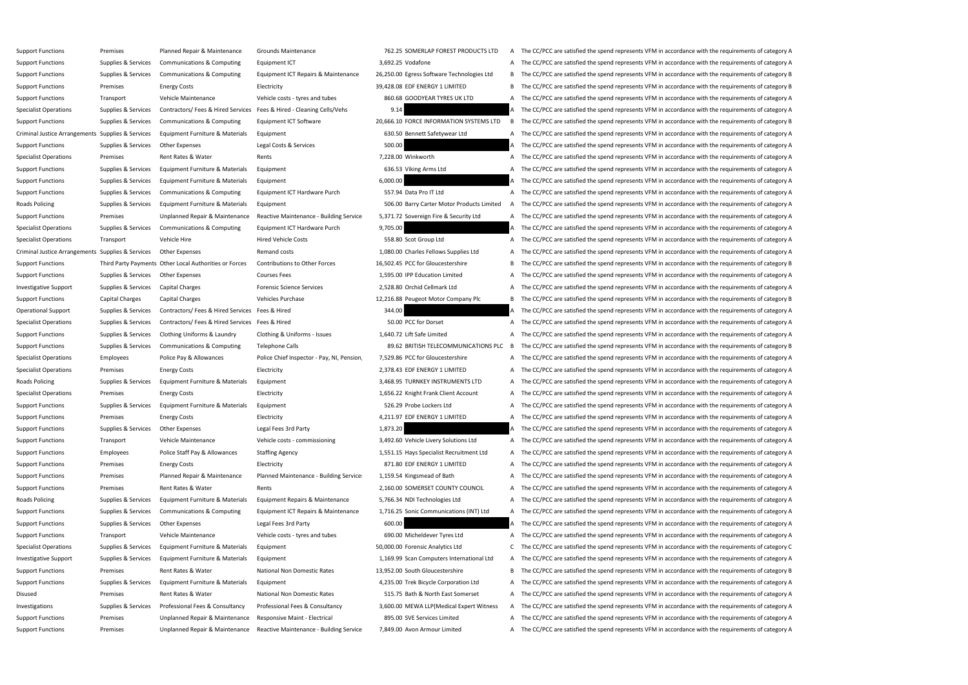| Support Functions                                 | Premises            | Planned Repair & Maintenance                                         | Grounds Maintenance                       | 762.25 SOMERLAP FOREST PRODUCTS LTD        | A | The CC/PCC are satisfied the spend represents VFM in accordance with the requirements of category A   |
|---------------------------------------------------|---------------------|----------------------------------------------------------------------|-------------------------------------------|--------------------------------------------|---|-------------------------------------------------------------------------------------------------------|
| <b>Support Functions</b>                          | Supplies & Services | <b>Communications &amp; Computing</b>                                | Equipment ICT                             | 3,692.25 Vodafone                          | A | The CC/PCC are satisfied the spend represents VFM in accordance with the requirements of category A   |
| <b>Support Functions</b>                          | Supplies & Services | <b>Communications &amp; Computing</b>                                | Equipment ICT Repairs & Maintenance       | 26,250.00 Egress Software Technologies Ltd | В | The CC/PCC are satisfied the spend represents VFM in accordance with the requirements of category B   |
| <b>Support Functions</b>                          | Premises            | <b>Energy Costs</b>                                                  | Electricity                               | 39,428.08 EDF ENERGY 1 LIMITED             |   | B The CC/PCC are satisfied the spend represents VFM in accordance with the requirements of category B |
| <b>Support Functions</b>                          | Transport           | Vehicle Maintenance                                                  | Vehicle costs - tyres and tubes           | 860.68 GOODYEAR TYRES UK LTD               | A | The CC/PCC are satisfied the spend represents VFM in accordance with the requirements of category A   |
| <b>Specialist Operations</b>                      | Supplies & Services | Contractors/Fees & Hired Services Fees & Hired - Cleaning Cells/Vehs |                                           | 9.14                                       |   | The CC/PCC are satisfied the spend represents VFM in accordance with the requirements of category A   |
| <b>Support Functions</b>                          | Supplies & Services | <b>Communications &amp; Computing</b>                                | Equipment ICT Software                    | 20,666.10 FORCE INFORMATION SYSTEMS LTD    | B | The CC/PCC are satisfied the spend represents VFM in accordance with the requirements of category B   |
| Criminal Justice Arrangements Supplies & Services |                     | Equipment Furniture & Materials                                      | Equipment                                 | 630.50 Bennett Safetywear Ltd              |   | A The CC/PCC are satisfied the spend represents VFM in accordance with the requirements of category A |
| <b>Support Functions</b>                          | Supplies & Services | Other Expenses                                                       | Legal Costs & Services                    | 500.00                                     |   | The CC/PCC are satisfied the spend represents VFM in accordance with the requirements of category A   |
| <b>Specialist Operations</b>                      | Premises            | Rent Rates & Water                                                   | Rents                                     | 7,228.00 Winkworth                         | A | The CC/PCC are satisfied the spend represents VFM in accordance with the requirements of category A   |
| <b>Support Functions</b>                          | Supplies & Services | Equipment Furniture & Materials                                      | Equipment                                 | 636.53 Viking Arms Ltd                     |   | A The CC/PCC are satisfied the spend represents VFM in accordance with the requirements of category A |
| <b>Support Functions</b>                          | Supplies & Services | Equipment Furniture & Materials                                      | Equipment                                 | 6,000.00                                   |   | The CC/PCC are satisfied the spend represents VFM in accordance with the requirements of category A   |
| <b>Support Functions</b>                          | Supplies & Services | <b>Communications &amp; Computing</b>                                | Equipment ICT Hardware Purch              | 557.94 Data Pro IT Ltd                     |   | A The CC/PCC are satisfied the spend represents VFM in accordance with the requirements of category A |
| <b>Roads Policing</b>                             | Supplies & Services | Equipment Furniture & Materials                                      | Equipment                                 | 506.00 Barry Carter Motor Products Limited | A | The CC/PCC are satisfied the spend represents VFM in accordance with the requirements of category A   |
| <b>Support Functions</b>                          | Premises            | Unplanned Repair & Maintenance                                       | Reactive Maintenance - Building Service   | 5,371.72 Sovereign Fire & Security Ltd     |   | A The CC/PCC are satisfied the spend represents VFM in accordance with the requirements of category A |
| <b>Specialist Operations</b>                      | Supplies & Services | <b>Communications &amp; Computing</b>                                | Equipment ICT Hardware Purch              | 9,705.00                                   |   | The CC/PCC are satisfied the spend represents VFM in accordance with the requirements of category A   |
| Specialist Operations                             | Transport           | Vehicle Hire                                                         | <b>Hired Vehicle Costs</b>                | 558.80 Scot Group Ltd                      |   | The CC/PCC are satisfied the spend represents VFM in accordance with the requirements of category A   |
| Criminal Justice Arrangements Supplies & Services |                     | Other Expenses                                                       | Remand costs                              | 1,080.00 Charles Fellows Supplies Ltd      |   | The CC/PCC are satisfied the spend represents VFM in accordance with the requirements of category A   |
| <b>Support Functions</b>                          |                     | Third Party Payments Other Local Authorities or Forces               | Contributions to Other Forces             | 16,502.45 PCC for Gloucestershire          | в | The CC/PCC are satisfied the spend represents VFM in accordance with the requirements of category B   |
| <b>Support Functions</b>                          | Supplies & Services | Other Expenses                                                       | <b>Courses Fees</b>                       | 1,595.00 IPP Education Limited             |   | The CC/PCC are satisfied the spend represents VFM in accordance with the requirements of category A   |
| <b>Investigative Support</b>                      | Supplies & Services | <b>Capital Charges</b>                                               | <b>Forensic Science Services</b>          | 2,528.80 Orchid Cellmark Ltd               | A | The CC/PCC are satisfied the spend represents VFM in accordance with the requirements of category A   |
| <b>Support Functions</b>                          | Capital Charges     | Capital Charges                                                      | <b>Vehicles Purchase</b>                  | 12,216.88 Peugeot Motor Company Plc        |   | B The CC/PCC are satisfied the spend represents VFM in accordance with the requirements of category B |
| <b>Operational Support</b>                        | Supplies & Services | Contractors/Fees & Hired Services Fees & Hired                       |                                           | 344.00                                     |   | The CC/PCC are satisfied the spend represents VFM in accordance with the requirements of category A   |
| <b>Specialist Operations</b>                      | Supplies & Services | Contractors/Fees & Hired Services Fees & Hired                       |                                           | 50.00 PCC for Dorset                       |   | The CC/PCC are satisfied the spend represents VFM in accordance with the requirements of category A   |
| <b>Support Functions</b>                          | Supplies & Services | Clothing Uniforms & Laundry                                          | Clothing & Uniforms - Issues              | 1,640.72 Lift Safe Limited                 | A | The CC/PCC are satisfied the spend represents VFM in accordance with the requirements of category A   |
| <b>Support Functions</b>                          | Supplies & Services | <b>Communications &amp; Computing</b>                                | Telephone Calls                           | 89.62 BRITISH TELECOMMUNICATIONS PLC       | B | The CC/PCC are satisfied the spend represents VFM in accordance with the requirements of category B   |
| <b>Specialist Operations</b>                      | <b>Employees</b>    | Police Pay & Allowances                                              | Police Chief Inspector - Pay, NI, Pension | 7,529.86 PCC for Gloucestershire           |   | The CC/PCC are satisfied the spend represents VFM in accordance with the requirements of category A   |
| <b>Specialist Operations</b>                      | Premises            | <b>Energy Costs</b>                                                  | Electricity                               | 2,378.43 EDF ENERGY 1 LIMITED              |   | The CC/PCC are satisfied the spend represents VFM in accordance with the requirements of category A   |
| Roads Policing                                    | Supplies & Services | Equipment Furniture & Materials                                      | Equipment                                 | 3,468.95 TURNKEY INSTRUMENTS LTD           |   | The CC/PCC are satisfied the spend represents VFM in accordance with the requirements of category A   |
| <b>Specialist Operations</b>                      | Premises            | <b>Energy Costs</b>                                                  | Electricity                               | 1,656.22 Knight Frank Client Account       |   | A The CC/PCC are satisfied the spend represents VFM in accordance with the requirements of category A |
| <b>Support Functions</b>                          | Supplies & Services | Equipment Furniture & Materials                                      | Equipment                                 | 526.29 Probe Lockers Ltd                   |   | A The CC/PCC are satisfied the spend represents VFM in accordance with the requirements of category A |
| <b>Support Functions</b>                          | Premises            | <b>Energy Costs</b>                                                  | Electricity                               | 4,211.97 EDF ENERGY 1 LIMITED              |   | A The CC/PCC are satisfied the spend represents VFM in accordance with the requirements of category A |
| <b>Support Functions</b>                          | Supplies & Services | Other Expenses                                                       | Legal Fees 3rd Party                      | 1,873.20                                   |   | The CC/PCC are satisfied the spend represents VFM in accordance with the requirements of category A   |
| <b>Support Functions</b>                          | Transport           | Vehicle Maintenance                                                  | Vehicle costs - commissioning             | 3,492.60 Vehicle Livery Solutions Ltd      |   | A The CC/PCC are satisfied the spend represents VFM in accordance with the requirements of category A |
| <b>Support Functions</b>                          | <b>Employees</b>    | Police Staff Pay & Allowances                                        | <b>Staffing Agency</b>                    | 1,551.15 Hays Specialist Recruitment Ltd   |   | A The CC/PCC are satisfied the spend represents VFM in accordance with the requirements of category A |
| <b>Support Functions</b>                          | Premises            | <b>Energy Costs</b>                                                  | Electricity                               | 871.80 EDF ENERGY 1 LIMITED                | A | The CC/PCC are satisfied the spend represents VFM in accordance with the requirements of category A   |
| <b>Support Functions</b>                          | Premises            | Planned Repair & Maintenance                                         | Planned Maintenance - Building Service:   | 1,159.54 Kingsmead of Bath                 |   | A The CC/PCC are satisfied the spend represents VFM in accordance with the requirements of category A |
| <b>Support Functions</b>                          | Premises            | Rent Rates & Water                                                   | Rents                                     | 2,160.00 SOMERSET COUNTY COUNCIL           |   | A The CC/PCC are satisfied the spend represents VFM in accordance with the requirements of category A |
| Roads Policing                                    | Supplies & Services | Equipment Furniture & Materials                                      | Equipment Repairs & Maintenance           | 5,766.34 NDI Technologies Ltd              |   | A The CC/PCC are satisfied the spend represents VFM in accordance with the requirements of category A |
| <b>Support Functions</b>                          | Supplies & Services | Communications & Computing                                           | Equipment ICT Repairs & Maintenance       | 1,716.25 Sonic Communications (INT) Ltd    |   | A The CC/PCC are satisfied the spend represents VFM in accordance with the requirements of category A |
| <b>Support Functions</b>                          | Supplies & Services | Other Expenses                                                       | Legal Fees 3rd Party                      | 600.00                                     |   | The CC/PCC are satisfied the spend represents VFM in accordance with the requirements of category A   |
| <b>Support Functions</b>                          | Transport           | Vehicle Maintenance                                                  | Vehicle costs - tyres and tubes           | 690.00 Micheldever Tyres Ltd               |   | A The CC/PCC are satisfied the spend represents VFM in accordance with the requirements of category A |
| <b>Specialist Operations</b>                      | Supplies & Services | Equipment Furniture & Materials                                      | Equipment                                 | 50,000.00 Forensic Analytics Ltd           |   | The CC/PCC are satisfied the spend represents VFM in accordance with the requirements of category C   |
| Investigative Support                             | Supplies & Services | Equipment Furniture & Materials                                      | Equipment                                 | 1,169.99 Scan Computers International Ltd  |   | A The CC/PCC are satisfied the spend represents VFM in accordance with the requirements of category A |
| <b>Support Functions</b>                          | Premises            | Rent Rates & Water                                                   | National Non Domestic Rates               | 13,952.00 South Gloucestershire            | В | The CC/PCC are satisfied the spend represents VFM in accordance with the requirements of category B   |
| <b>Support Functions</b>                          | Supplies & Services | Equipment Furniture & Materials                                      | Equipment                                 | 4,235.00 Trek Bicycle Corporation Ltd      |   | A The CC/PCC are satisfied the spend represents VFM in accordance with the requirements of category A |
| Disused                                           | Premises            | Rent Rates & Water                                                   | National Non Domestic Rates               | 515.75 Bath & North East Somerset          |   | A The CC/PCC are satisfied the spend represents VFM in accordance with the requirements of category A |
| Investigations                                    | Supplies & Services | Professional Fees & Consultancy                                      | Professional Fees & Consultancy           | 3,600.00 MEWA LLP (Medical Expert Witness  |   | A The CC/PCC are satisfied the spend represents VFM in accordance with the requirements of category A |
| <b>Support Functions</b>                          | Premises            | Unplanned Repair & Maintenance                                       | Responsive Maint - Electrical             | 895.00 SVE Services Limited                |   | A The CC/PCC are satisfied the spend represents VFM in accordance with the requirements of category A |
| <b>Support Functions</b>                          | Premises            | Unplanned Repair & Maintenance                                       | Reactive Maintenance - Building Service   | 7,849.00 Avon Armour Limited               |   | A The CC/PCC are satisfied the spend represents VFM in accordance with the requirements of category A |
|                                                   |                     |                                                                      |                                           |                                            |   |                                                                                                       |

| nce   |          | 26,250.00 Egress Software Technologies |
|-------|----------|----------------------------------------|
|       |          | 39,428.08 EDF ENERGY 1 LIMITED         |
|       |          | 860.68 GOODYEAR TYRES UK LTD           |
|       | 9.14     |                                        |
|       |          | 20,666.10 FORCE INFORMATION SYSTEI     |
|       |          | 630.50 Bennett Safetywear Ltd          |
|       | 500.00   |                                        |
|       |          | 7,228.00 Winkworth                     |
|       |          | 636.53 Viking Arms Ltd                 |
|       | 6,000.00 |                                        |
|       |          | 557.94 Data Pro IT Ltd                 |
|       |          | 506.00 Barry Carter Motor Products     |
| rvice |          | 5,371.72 Sovereign Fire & Security Ltd |
|       | 9,705.00 |                                        |
|       |          | 558.80 Scot Group Ltd                  |
|       |          | 1,080.00 Charles Fellows Supplies Ltd  |
|       |          | 16,502.45 PCC for Gloucestershire      |
|       |          | 1,595.00 IPP Education Limited         |
|       |          | 2,528.80 Orchid Cellmark Ltd           |
|       |          | 12,216.88 Peugeot Motor Company Plc    |
|       | 344.00   |                                        |
|       |          | 50.00 PCC for Dorset                   |
|       |          | 1,640.72 Lift Safe Limited             |
|       |          | 89.62 BRITISH TELECOMMUNICATI          |
| sion. |          | 7,529.86 PCC for Gloucestershire       |
|       |          | 2,378.43 EDF ENERGY 1 LIMITED          |
|       |          | 3,468.95 TURNKEY INSTRUMENTS LTD       |
|       |          | 1,656.22 Knight Frank Client Account   |
|       |          | 526.29 Probe Lockers Ltd               |
|       |          | 4,211.97 EDF ENERGY 1 LIMITED          |
|       | 1,873.20 |                                        |
|       |          | 3,492.60 Vehicle Livery Solutions Ltd  |
|       |          | 1,551.15 Hays Specialist Recruitment L |
|       |          | 871.80 EDF ENERGY 1 LIMITED            |
| vice: |          | 1,159.54 Kingsmead of Bath             |
|       |          | 2,160.00 SOMERSET COUNTY COUNCI        |
|       |          | 5,766.34 NDI Technologies Ltd          |
| nce   |          | 1,716.25 Sonic Communications (INT)    |
|       | 600.00   |                                        |
|       |          | 690.00 Micheldever Tyres Ltd           |
|       |          | 50,000.00 Forensic Analytics Ltd       |
|       |          | 1,169.99 Scan Computers Internationa   |
|       |          | 13,952.00 South Gloucestershire        |
|       |          | 4,235.00 Trek Bicycle Corporation Ltd  |
|       |          | 515.75 Bath & North East Somerset      |
|       |          | 3,600.00 MEWA LLP(Medical Expert W     |
|       |          | 895.00 SVE Services Limited            |
| rvice |          | 7.849.00 Avon Armour Limited           |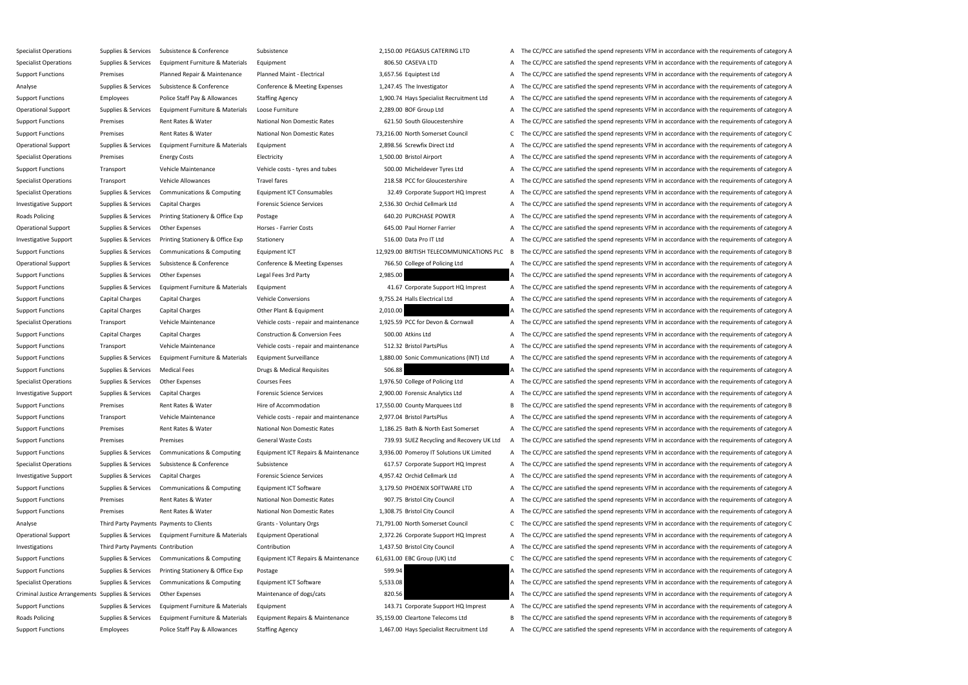Specialist Operations Supplies & Services Subsistence Subsistence Subsistence Subsistence 2,150.00 PEGASUS CATERING LTD A The CC/PCC are satisfied the spend represents VFM in accordance with the requirements of category A Specialist Operations Supplies & Services Equipment Furniture & Materials Equipment 806.50 CASEVA LTD A The CC/PCC are satisfied the spend represents VFM in accordance with the requirements of category A Support Functions Premises Planned Repair & Maintenance Planned Maint - Electrical 3,657.56 Equiptest Ltd A The CC/PCC are satisfied the spend represents VFM in accordance with the requirements of category A Analyse Supplies & Services Subsistence & Conference Conference & Meeting Expenses 1,247.45 The Investigator A The CC/PCC are satisfied the spend represents VFM in accordance with the requirements of category A Support Functions Employees Police Staff Pay & Allowances Staffing Agency 1,900.74 Hays Specialist Recruitment Ltd A The CC/PCC are satisfied the spend represents VFM in accordance with the requirements of category A Operational Support Supplies & Services Equipment Furniture & Materials Loose Furniture 2008 DOF Group Ltd A The CC/PCC are satisfied the spend represents VFM in accordance with the requirements of category A Support Functions Premises Rent Rates & Water National Non Domestic Rates 621.50 South Gloucestershire A The CC/PCC are satisfied the spend represents VFM in accordance with the requirements of category A Support Functions Premises Rent Rates & Water National Non Domestic Rates 73,216.00 North Somerset Council C The CC/PCC are satisfied the spend represents VFM in accordance with the requirements of category C Operational Support Supplies & Services Equipment Furniture & Materials Equipment 2,898.56 Screwfix Direct Ltd A The CC/PCC are satisfied the spend represents VFM in accordance with the requirements of category A Specialist Operations Premises Energy Costs Electricity Electricity and the Spend A The CC/PCC are satisfied the spend represents VFM in accordance with the requirements of category A Support Functions Transport Vehicle Maintenance Vehicle costs - tyres and tubes 500.00 Micheldever Tyres Ltd A The CC/PCC are satisfied the spend represents VFM in accordance with the requirements of category A Specialist Operations Transport Vehicle Allowances Travel fares 218.58 PCC for Gloucestershire A The CC/PCC are satisfied the spend represents VFM in accordance with the requirements of category A Specialist Operations Supplies & Services Communications & Computing Equipment ICT Consumables 32.49 Corporate Support HQ Imprest A The CC/PCC are satisfied the spend represents VFM in accordance with the requirements of c Investigative Support Supplies & Services Capital Charges Forensic Science Services 2,536.30 Orchid Cellmark Ltd A The CC/PCC are satisfied the spend represents VFM in accordance with the requirements of category A Roads Policing Supplies & Services Printing Stationery & Office Exp Postage Postage 640.20 PURCHASE POWER A The CC/PCC are satisfied the spend represents VFM in accordance with the requirements of category A Operational Support Supplies & Services Other Expenses Horses Farrier Costs 645.00 Paul Horner Farrier A The CC/PCC are satisfied the spend represents VFM in accordance with the requirements of category A Investigative Support Supplies & Services Printing Stationery & Office Exp Stationery 516.00 Data Pro IT Ltd A The CC/PCC are satisfied the spend represents VFM in accordance with the requirements of category A Support Functions Supplies & Services Communications & Computing Equipment ICT 12,929.00 BRITISH TELECOMMUNICATIONS PLC B The CC/PCC are satisfied the spend represents VFM in accordance with the requirements of category B Operational Support Supplies & Services Subsistence & Conference Conference & Meeting Expenses 766.50 College of Policing Ltd A The CC/PCC are satisfied the spend represents VFM in accordance with the requirements of categ Support Functions Supplies & Services Other Expenses Legal Fees 3rd Party 2,985.00 2,985.00 A The CC/PCC are satisfied the spend represents VFM in accordance with the requirements of category A Support Functions Supplies & Services Equipment Furniture & Materials Equipment 41.67 Corporate Support HQ Imprest A The CC/PCC are satisfied the spend represents VFM in accordance with the requirements of category A Support Functions Capital Charges Capital Charges Vehicle Conversions Vehicle Conversions 9,755.24 Halls Electrical Ltd A The CC/PCC are satisfied the spend represents VFM in accordance with the requirements of category A Support Functions Capital Charges Capital Charges Other Plant & Equipment 2,010.00 A The CC/PCC are satisfied the spend represents VFM in accordance with the requirements of category A Specialist Operations Transport Vehicle Maintenance Vehicle costs - repair and maintenance 1,925.59 PCC for Devon & Cornwall A The CC/PCC are satisfied the spend represents VFM in accordance with the requirements of catego Support Functions Capital Charges Capital Charges Construction & Conversion Fees 500.00 Atkins Ltd A The CC/PCC are satisfied the spend represents VFM in accordance with the requirements of category A Support Functions Transport Vehicle Maintenance Vehicle costs - repair and maintenance 512.32 Bristol PartsPlus A The CC/PCC are satisfied the spend represents VFM in accordance with the requirements of category A Support Functions Supplies & Services Equipment Furniture & Materials Equipment Surveillance 1,880.00 Sonic Communications (INT) Ltd A The CC/PCC are satisfied the spend represents VFM in accordance with the requirements o Support Functions Supplies & Services Medical Fees Drugs & Medical Requisites Drugs & Medical Requisites 506.88 A The CC/PCC are satisfied the spend represents VFM in accordance with the requirements of category A Specialist Operations Supplies & Services Other Expenses Courses Fees Courses Fees 1,976.50 College of Policing Ltd A The CC/PCC are satisfied the spend represents VFM in accordance with the requirements of category A Investigative Support Supplies & Services Capital Charges Forensic Science Services 2,900.00 Forensic Analytics Ltd A The CC/PCC are satisfied the spend represents VFM in accordance with the requirements of category A Support Functions Premises Rent Rates & Water Hire of Accommodation Hire of Accommodation 17,550.00 County Marquees Ltd B The CC/PCC are satisfied the spend represents VFM in accordance with the requirements of category B Support Functions Transport Vehicle Maintenance Vehicle costs - repair and maintenance 2,977.04 Bristol PartsPlus A The CC/PCC are satisfied the spend represents VFM in accordance with the requirements of category A Support Functions Premises Rent Rates & Water National Non Domestic Rates 1,186.25 Bath & North East Somerset A The CC/PCC are satisfied the spend represents VFM in accordance with the requirements of category A Support Functions Premises Premises Premises General Waste Costs 739.93 SUEZ Recycling and Recovery UK Ltd A The CC/PCC are satisfied the spend represents VFM in accordance with the requirements of category A Support Functions Supplies & Services Communications & Computing Equipment ICT Repairs & Maintenance 3,936.00 Pomeroy IT Solutions UK Limited A The CC/PCC are satisfied the spend represents VFM in accordance with the requi Specialist Operations Supplies & Services Subsistence & Conference Subsistence Subsistence Subsistence Subsistence Subsistence Subsistence Subsistence CSU2.57 Corporate Support HQ Imprest A The CC/PCC are satisfied the spe Investigative Support Supplies & Services Capital Charges Forensic Science Services 4,957.42 Orchid Cellmark Ltd A The CC/PCC are satisfied the spend represents VFM in accordance with the requirements of category A Support Functions Supplies & Services Communications & Computing Equipment ICT Software 3,179.50 PHOENIX SOFTWARE LTD A The CC/PCC are satisfied the spend represents VFM in accordance with the requirements of category A Support Functions Premises Rent Rates & Water National Non Domestic Rates 907.75 Bristol City Council A The CC/PCC are satisfied the spend represents VFM in accordance with the requirements of category A Support Functions Premises Rent Rates & Water National Non Domestic Rates 1,308.75 Bristol City Council A The CC/PCC are satisfied the spend represents VFM in accordance with the requirements of category A Analyse Third Party Payments Payments to Clients Grants - Voluntary Orgs 71,791.00 North Somerset Council C The CC/PCC are satisfied the spend represents VFM in accordance with the requirements of category C Operational Support Supplies & Services Equipment Furniture & Materials Equipment Operational 2,372.26 Corporate Support HQ Imprest A The CC/PCC are satisfied the spend represents VFM in accordance with the requirements of Investigations Third Party Payments Contribution Contribution Contribution Contribution Contribution 2,437.50 Bristol City Council A The CC/PCC are satisfied the spend represents VFM in accordance with the requirements of Support Functions Supplies & Services Communications & Computing Equipment ICT Repairs & Maintenance 61,631.00 EBC Group (UK) Ltd C/PCC are satisfied the spend represents VFM in accordance with the requirements of category Support Functions Supplies & Services Printing Stationery & Office Exp Postage 599.94 599.94 A The CC/PCC are satisfied the spend represents VFM in accordance with the requirements of category A Specialist Operations Supplies & Services Communications & Computing Equipment ICT Software 5,533.08 5,533.08 A The CC/PCC are satisfied the spend represents VFM in accordance with the requirements of category A Criminal Justice Arrangements Supplies & Services Other Expenses Maintenance of dogs/cats Maintenance of dogs/cats 820.56 A The CC/PCC are satisfied the spend represents VFM in accordance with the requirements of category Support Functions Supplies & Services Equipment Furniture & Materials Equipment 143.71 Corporate Support HQ Imprest A The CC/PCC are satisfied the spend represents VFM in accordance with the requirements of category A Roads Policing Supplies & Services Equipment Furniture & Materials Equipment Repairs & Maintenance 35,159.00 Cleartone Telecoms Ltd B The CC/PCC are satisfied the spend represents VFM in accordance with the requirements of Support Functions Employees Police Staff Pay & Allowances Staffing Agency 1,467.00 Hays Specialist Recruitment Ltd A The CC/PCC are satisfied the spend represents VFM in accordance with the requirements of category A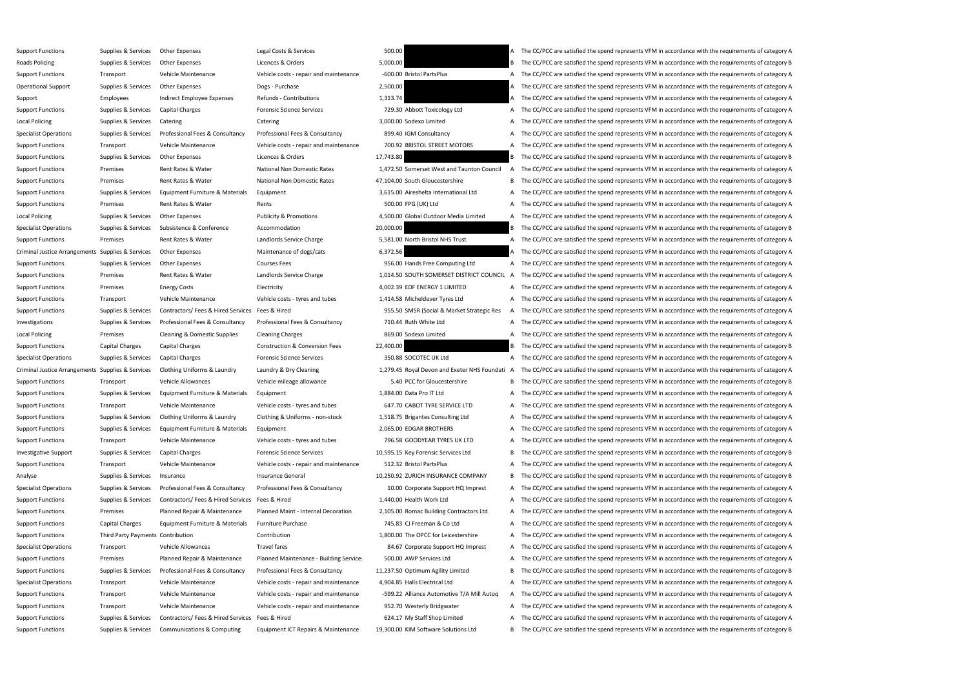| 500.00    |                                              |
|-----------|----------------------------------------------|
| 5,000.00  |                                              |
|           | -600.00 Bristol PartsPlus                    |
| 2,500.00  |                                              |
| 1,313.74  |                                              |
|           | 729.30 Abbott Toxicology Ltd                 |
|           | 3,000.00 Sodexo Limited                      |
|           | 899.40 IGM Consultancy                       |
|           | 700.92 BRISTOL STREET MOTORS                 |
| 17,743.80 |                                              |
|           | 1,472.50 Somerset West and Taunton Council   |
|           | 17,104.00 South Gloucestershire              |
|           | 3,615.00 Aireshelta International Ltd        |
|           | 500.00 FPG (UK) Ltd                          |
|           | 4,500.00 Global Outdoor Media Limited        |
| 20,000.00 |                                              |
|           | 5,581.00 North Bristol NHS Trust             |
| 6,372.56  |                                              |
|           | 956.00 Hands Free Computing Ltd              |
|           | 1,014.50 SOUTH SOMERSET DISTRICT COUNCIL     |
|           | 4,002.39 EDF ENERGY 1 LIMITED                |
|           | 1,414.58 Micheldever Tyres Ltd               |
|           | 955.50 SMSR (Social & Market Strategic Res   |
|           | 710.44 Ruth White Ltd                        |
|           | 869.00 Sodexo Limited                        |
|           |                                              |
|           |                                              |
| 22,400.00 | 350.88 SOCOTEC UK Ltd                        |
|           | 1,279.45 Royal Devon and Exeter NHS Foundati |
|           | 5.40 PCC for Gloucestershire                 |
|           | 1,884.00 Data Pro IT Ltd                     |
|           | 647.70 CABOT TYRE SERVICE LTD                |
|           | 1,518.75 Brigantes Consulting Ltd            |
|           | 2,065.00 EDGAR BROTHERS                      |
|           | 796.58 GOODYEAR TYRES UK LTD                 |
|           | 10,595.15 Key Forensic Services Ltd          |
|           | 512.32 Bristol PartsPlus                     |
|           | 10,250.92 ZURICH INSURANCE COMPANY           |
|           | 10.00 Corporate Support HQ Imprest           |
|           | 1,440.00 Health Work Ltd                     |
|           | 2,105.00 Romac Building Contractors Ltd      |
|           | 745.83 CJ Freeman & Co Ltd                   |
|           | 1,800.00 The OPCC for Leicestershire         |
|           | 84.67 Corporate Support HQ Imprest           |
|           | 500.00 AWP Services Ltd                      |
|           | 11,237.50 Optimum Agility Limited            |
|           | 4,904.85 Halls Electrical Ltd                |
|           | -599.22 Alliance Automotive T/A Mill Autoq   |
|           | 952.70 Westerly Bridgwater                   |
|           | 624.17 My Staff Shop Limited                 |

Support Functions Supplies & Services Other Expenses Legal Costs & Services 500.00 500.00 A The CC/PCC are satisfied the spend represents VFM in accordance with the requirements of category A Roads Policing Supplies & Services Other Expenses Licences & Orders Supplies and the Supplies of category B The CC/PCC are satisfied the spend represents VFM in accordance with the requirements of category B Support Functions Transport Vehicle Maintenance Vehicle costs - repair and maintenance -600.00 Bristol PartsPlus A The CC/PCC are satisfied the spend represents VFM in accordance with the requirements of category A Operational Support Supplies & Services Other Expenses Dogs - Purchase Dogs - Purchase 2,500.00 A The CC/PCC are satisfied the spend represents VFM in accordance with the requirements of category A Support Employees Indirect Employee Expenses Refunds - Contributions 1,313.74 A The CC/PCC are satisfied the spend represents VFM in accordance with the requirements of category A Support Functions Supplies & Services Capital Charges Forensic Science Services Forensic Science Services 729.30 Abbott Toxicology Ltd A The CC/PCC are satisfied the spend represents VFM in accordance with the requirements Local Policing Supplies & Services Catering Catering Catering Catering Supplies and Catering Catering Catering Catering 3,000.00 Sodexo Limited A The CC/PCC are satisfied the spend represents VFM in accordance with the req Specialist Operations Supplies & Services Professional Fees & Consultancy Professional Fees & Consultancy Professional Fees & Consultancy 899.40 IGM Consultancy 899.40 IGM Consultancy A The CC/PCC are satisfied the spend r Support Functions Transport Vehicle Maintenance Vehicle costs - repair and maintenance 700.92 BRISTOL STREET MOTORS A The CC/PCC are satisfied the spend represents VFM in accordance with the requirements of category A Support Functions Supplies & Services Other Expenses Licences & Orders 17,743.80 B The CC/PCC are satisfied the spend represents VFM in accordance with the requirements of category B Support Functions Premises Rent Rates & Water National Non Domestic Rates 1,472.50 Somerset West and Taunton Council A The CC/PCC are satisfied the spend represents VFM in accordance with the requirements of category A Support Functions Premises Rent Rates & Water National Non Domestic Rates 47,104.00 South Gloucestershire B The CC/PCC are satisfied the spend represents VFM in accordance with the requirements of category B Support Functions Supplies & Services Equipment Furniture & Materials Equipment 3,615.00 Aireshelta International Ltd A The CC/PCC are satisfied the spend represents VFM in accordance with the requirements of category A Support Functions Premises Rent Rates & Water Rents Rents Rents Rents A The CC/PCC are satisfied the spend represents VFM in accordance with the requirements of category A Local Policing Supplies & Services Other Expenses Publicity & Promotions Publicity A Promotions 4,500.00 Global Outdoor Media Limited A The CC/PCC are satisfied the spend represents VFM in accordance with the requirements Specialist Operations Supplies & Services Subsistence & Conference Accommodation 20,000.00 20,000.00 B The CC/PCC are satisfied the spend represents VFM in accordance with the requirements of category B Support Functions Premises Rent Rates & Water Landlords Service Charge 5,581.00 North Bristol NHS Trust A The CC/PCC are satisfied the spend represents VFM in accordance with the requirements of category A Criminal Justice Arrangements Supplies & Services Other Expenses Maintenance of dogs/cats Maintenance of dogs/cats 6,372.56 A The CC/PCC are satisfied the spend represents VFM in accordance with the requirements of categor Support Functions Supplies & Services Other Expenses Courses Fees Courses Fees 956.00 Hands Free Computing Ltd A The CC/PCC are satisfied the spend represents VFM in accordance with the requirements of category A Support Functions Premises Rent Rates & Water Landlords Service Charge 1,014.50 SOUTH SOMERSET DISTRICT COUNCIL A The CC/PCC are satisfied the spend represents VFM in accordance with the requirements of category A Support Functions Premises Energy Costs Electricity Electricity and the CO2.39 EDF ENERGY 1 LIMITED A The CC/PCC are satisfied the spend represents VFM in accordance with the requirements of category A Support Functions Transport Vehicle Maintenance Vehicle costs - tyres and tubes 1,414.58 Micheldever Tyres Ltd A The CC/PCC are satisfied the spend represents VFM in accordance with the requirements of category A Support Functions Supplies & Services Contractors/ Fees & Hired Services Fees & Hired Services Fees & Hired Services Fees & Hired Services Fees & Hired Services Fees & Hired Services Fees & Hired Services Fees & Hired Serv Investigations Supplies & Services Professional Fees & Consultancy Professional Fees & Consultancy Professional Fees & Consultancy 710.44 Ruth White Ltd A The CC/PCC are satisfied the spend represents VFM in accordance wit Local Policing Premises Cleaning & Domestic Supplies Cleaning Charges 869.00 Sodexo Limited A The CC/PCC are satisfied the spend represents VFM in accordance with the requirements of category A Support Functions Capital Charges Capital Charges Construction & Conversion Fees 22,400.00 B The CC/PCC are satisfied the spend represents VFM in accordance with the requirements of category B Specialist Operations Supplies & Services Capital Charges Forensic Science Services 350.88 SOCOTEC UK Ltd A The CC/PCC are satisfied the spend represents VFM in accordance with the requirements of category A Criminal Justice Arrangements Supplies & Services Clothing Uniforms & Laundry Laundry & Dry Cleaning 1,279.45 Royal Devon and Exeter NHS Foundati A The CC/PCC are satisfied the spend represents VFM in accordance with the r Support Functions Transport Vehicle Allowances Vehicle mileage allowance 5.40 PCC for Gloucestershire B The CC/PCC are satisfied the spend represents VFM in accordance with the requirements of category B Support Functions Supplies & Services Equipment Furniture & Materials Equipment 1,884.00 Data Pro IT Ltd A The CC/PCC are satisfied the spend represents VFM in accordance with the requirements of category A Support Functions Transport Vehicle Maintenance Vehicle costs - tyres and tubes 647.70 CABOT TYRE SERVICE LTD A The CC/PCC are satisfied the spend represents VFM in accordance with the requirements of category A Support Functions Supplies & Services Clothing Uniforms & Laundry Clothing & Uniforms - non-stock 1,518.75 Brigantes Consulting Ltd A The CC/PCC are satisfied the spend represents VFM in accordance with the requirements of Support Functions Supplies & Services Equipment Furniture & Materials Equipment 2,065.00 EDGAR BROTHERS A The CC/PCC are satisfied the spend represents VFM in accordance with the requirements of category A Support Functions Transport Vehicle Maintenance Vehicle costs - tyres and tubes 796.58 GOODYEAR TYRES UK LTD A The CC/PCC are satisfied the spend represents VFM in accordance with the requirements of category A Investigative Support Supplies & Services Capital Charges Forensic Science Services Forensic Services 10,595.15 Key Forensic Services Ltd B The CC/PCC are satisfied the spend represents VFM in accordance with the requireme Support Functions Transport Vehicle Maintenance Vehicle costs - repair and maintenance 512.32 Bristol PartsPlus A The CC/PCC are satisfied the spend represents VFM in accordance with the requirements of category A Analyse Supplies & Services Insurance Services Insurance General Insurance General 10,250.92 ZURICH INSURANCE COMPANY B The CC/PCC are satisfied the spend represents VFM in accordance with the requirements of category B Specialist Operations Supplies & Services Professional Fees & Consultancy Professional Fees & Consultancy Professional Fees & Consultancy Professional Fees & Consultancy 20.00 Corporate Support HQ Imprest A The CC/PCC are Support Functions Supplies & Services Contractors/ Fees & Hired Services Fees & Hired 1,440.00 Health Work Ltd A The CC/PCC are satisfied the spend represents VFM in accordance with the requirements of category A Support Functions Premises Planned Repair & Maintenance Planned Maint - Internal Decoration 2,105.00 Romac Building Contractors Ltd A The CC/PCC are satisfied the spend represents VFM in accordance with the requirements of Support Functions Capital Charges Equipment Furniture & Materials Furniture Purchase 745.83 CJ Freeman & Co Ltd A The CC/PCC are satisfied the spend represents VFM in accordance with the requirements of category A Support Functions Third Party Payments Contribution Contribution Contribution Contribution Contribution Contribution and Contribution 1,800.00 The OPCC for Leicestershire A The CC/PCC are satisfied the spend represents VFM Specialist Operations Transport Vehicle Allowances Travel fares Travel fares 84.67 Corporate Support HQ Imprest A The CC/PCC are satisfied the spend represents VFM in accordance with the requirements of category A Support Functions Premises Planned Repair & Maintenance Planned Maintenance - Building Services 500.00 AWP Services Ltd A The CC/PCC are satisfied the spend represents VFM in accordance with the requirements of category A Support Functions Supplies & Services Professional Fees & Consultancy Professional Fees & Consultancy Professional Fees & Consultancy Professional Fees & Consultancy 11,237.50 Optimum Agility Limited B The CC/PCC are satis Specialist Operations Transport Vehicle Maintenance Vehicle costs - repair and maintenance 4,904.85 Halls Electrical Ltd A The CC/PCC are satisfied the spend represents VFM in accordance with the requirements of category A Support Functions Transport Transport Wehicle Maintenance Vehicle costs - repair and maintenance -599.22 Alliance Automotive T/A Mill Autoq A The CC/PCC are satisfied the spend represents VFM in accordance with the require Support Functions Transport Vehicle Maintenance Vehicle costs - repair and maintenance 952.70 Westerly Bridgwater A The CC/PCC are satisfied the spend represents VFM in accordance with the requirements of category A Support Functions Supplies & Services Contractors/ Fees & Hired Services Fees & Hired Services Fees & Hired 624.17 My Staff Shop Limited A The CC/PCC are satisfied the spend represents VFM in accordance with the requiremen Support Functions Supplies & Services Communications & Computing Equipment ICT Repairs & Maintenance 19,300.00 KIM Software Solutions Ltd B The CC/PCC are satisfied the spend represents VFM in accordance with the requireme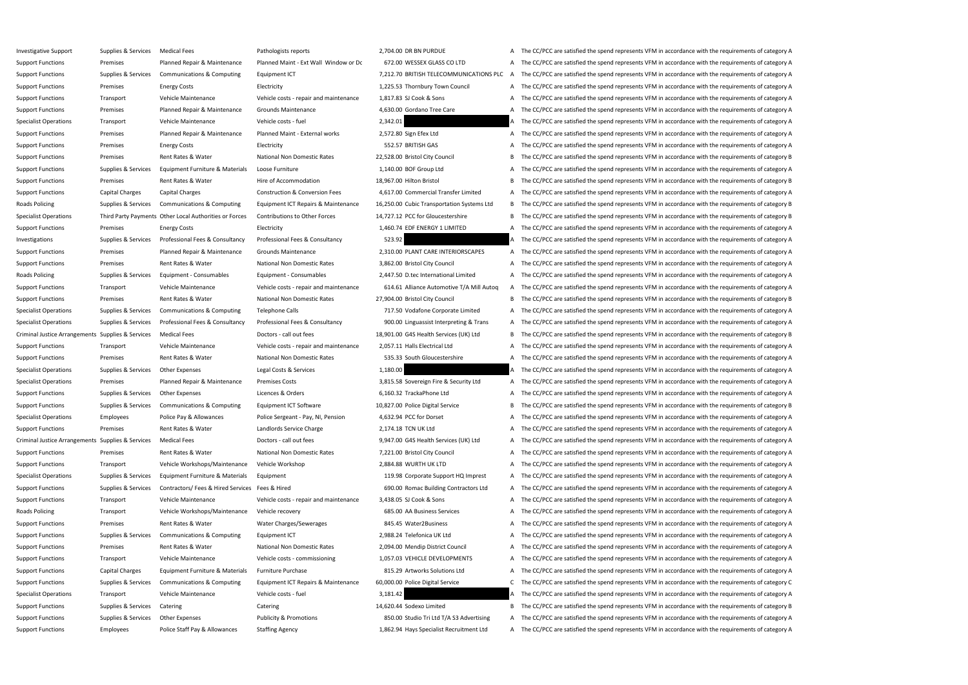Investigative Support Support Support Support Supports Pathologists reports Pathologists reports 2,704.00 DR BN PURDUE A The CC/PCC are satisfied the spend represents VFM in accordance with the requirements of category A Support Functions Premises Planned Repair & Maintenance Planned Maint - Ext Wall Window or Dc 672.00 WESSEX GLASS CO LTD A The CC/PCC are satisfied the spend represents VFM in accordance with the requirements of category A Support Functions Supplies & Services Communications & Computing Equipment ICT 7,212.70 BRITISH TELECOMMUNICATIONS PLC A The CC/PCC are satisfied the spend represents VFM in accordance with the requirements of category A Support Functions Premises Energy Costs Electricity Electricity and the Support Electricity 1,225.53 Thornbury Town Council A The CC/PCC are satisfied the spend represents VFM in accordance with the requirements of categor Support Functions Transport Vehicle Maintenance Vehicle costs - repair and maintenance 1,817.83 SJ Cook & Sons A The CC/PCC are satisfied the spend represents VFM in accordance with the requirements of category A Support Functions Premises Planned Repair & Maintenance Grounds Maintenance 4,630.00 Gordano Tree Care A The CC/PCC are satisfied the spend represents VFM in accordance with the requirements of category A Specialist Operations Transport Vehicle Maintenance Vehicle costs - fuel 2,342.01 2,342.01 A The CC/PCC are satisfied the spend represents VFM in accordance with the requirements of category A Support Functions Premises Planned Repair & Maintenance Planned Maint - External works 2,572.80 Sign Efex Ltd A The CC/PCC are satisfied the spend represents VFM in accordance with the requirements of category A Support Functions Premises Energy Costs Electricity Electricity S52.57 BRITISH GAS A The CC/PCC are satisfied the spend represents VFM in accordance with the requirements of category A Support Functions Premises Rent Rates & Water National Non Domestic Rates 22,528.00 Bristol City Council B The CC/PCC are satisfied the spend represents VFM in accordance with the requirements of category B Support Functions Supplies & Services Equipment Furniture & Materials Loose Furniture 1,140.00 BOF Group Ltd A The CC/PCC are satisfied the spend represents VFM in accordance with the requirements of category A Support Functions Premises Rent Rates & Water Hire of Accommodation 18,967.00 Hilton Bristol B The CC/PCC are satisfied the spend represents VFM in accordance with the requirements of category B Support Functions Capital Charges Capital Charges Construction & Conversion Fees 4.617.00 Commercial Transfer Limited A The CC/PCC are satisfied the spend represents VFM in accordance with the requirements of category A Roads Policing Supplies & Services Communications & Computing Equipment ICT Repairs & Maintenance 16,250.00 Cubic Transportation Systems Ltd B The CC/PCC are satisfied the spend represents VFM in accordance with the requir Specialist Operations Third Party Payments Other Local Authorities or Forces Contributions to Other Forces 14,727.12 PCC for Gloucestershire B The CC/PCC are satisfied the spend represents VFM in accordance with the requir Support Functions Premises Energy Costs Electricity Electricity and the COVID-1,460.74 EDF ENERGY 1 LIMITED A The CC/PCC are satisfied the spend represents VFM in accordance with the requirements of category A Investigations Supplies & Services Professional Fees & Consultancy Professional Fees & Consultancy 523.92 A The CC/PCC are satisfied the spend represents VFM in accordance with the requirements of category A Support Functions Premises Planned Repair & Maintenance Grounds Maintenance 2,310.00 PLANT CARE INTERIORSCAPES A The CC/PCC are satisfied the spend represents VFM in accordance with the requirements of category A Support Functions Premises Rent Rates & Water National Non Domestic Rates 3,862.00 Bristol City Council A The CC/PCC are satisfied the spend represents VFM in accordance with the requirements of category A Roads Policing Supplies & Services Equipment - Consumables Equipment - Consumables Equipment - Consumables Equipment - Consumables 2,447.50 D.tec International Limited A The CC/PCC are satisfied the spend represents VFM in Support Functions Transport Transport Wehicle Maintenance Vehicle costs - repair and maintenance 614.61 Alliance Automotive T/A Mill Autoq A The CC/PCC are satisfied the spend represents VFM in accordance with the requirem Support Functions Premises Rent Rates & Water National Non Domestic Rates 27,904.00 Bristol City Council B The CC/PCC are satisfied the spend represents VFM in accordance with the requirements of category B Specialist Operations Supplies & Services Communications & Computing Telephone Calls 717.50 Vodafone Corporate Limited A The CC/PCC are satisfied the spend represents VFM in accordance with the requirements of category A Specialist Operations Supplies & Services Professional Fees & Consultancy Professional Fees & Consultancy Professional Fees & Consultancy Professional Fees & Consultancy 900.00 Linguassist Interpreting & Trans A The CC/PCC Criminal Justice Arrangements Supplies & Services Medical Fees Doctors - call out fees Doctors - call out fees Doctors - call out fees 18,901.00 G4S Health Services (UK) Ltd B The CC/PCC are satisfied the spend represents Support Functions Transport Vehicle Maintenance Vehicle costs - repair and maintenance 2,057.11 Halls Electrical Ltd A The CC/PCC are satisfied the spend represents VFM in accordance with the requirements of category A Support Functions Premises Rent Rates & Water National Non Domestic Rates 535.33 South Gloucestershire A The CC/PCC are satisfied the spend represents VFM in accordance with the requirements of category A Specialist Operations Supplies & Services Other Expenses Legal Costs & Services 1,180.00 A The CC/PCC are satisfied the spend represents VFM in accordance with the requirements of category A Specialist Operations Premises Planned Repair & Maintenance Premises Costs 3,815.58 Sovereign Fire & Security Ltd A The CC/PCC are satisfied the spend represents VFM in accordance with the requirements of category A Support Functions Supplies & Services Other Expenses Licences & Orders 6,160.32 TrackaPhone Ltd A The CC/PCC are satisfied the spend represents VFM in accordance with the requirements of category A Support Functions Supplies & Services Communications & Computing Equipment ICT Software 10,827.00 Police Digital Service B The CC/PCC are satisfied the spend represents VFM in accordance with the requirements of category B Specialist Operations Employees Police Pay & Allowances Police Sergeant - Pay, NI, Pension 4,632.94 PCC for Dorset A The CC/PCC are satisfied the spend represents VFM in accordance with the requirements of category A Support Functions Premises Rent Rates & Water Landlords Service Charge 2,174.18 TCN UK Ltd A The CC/PCC are satisfied the spend represents VFM in accordance with the requirements of category A Criminal Justice Arrangements Supplies & Services Medical Fees Doctors - call out fees Doctors - call out fees Doctors - call out fees 9,947.00 G4S Health Services (UK) Ltd A The CC/PCC are satisfied the spend represents V Support Functions Premises Rent Rates & Water National Non Domestic Rates 7,221.00 Bristol City Council A The CC/PCC are satisfied the spend represents VFM in accordance with the requirements of category A Support Functions Transport Vehicle Workshops/Maintenance Vehicle Workshop 2,884.88 WURTH UK LTD A The CC/PCC are satisfied the spend represents VFM in accordance with the requirements of category A Specialist Operations Supplies & Services Equipment Furniture & Materials Equipment 119.98 Corporate Support HQ Imprest A The CC/PCC are satisfied the spend represents VFM in accordance with the requirements of category A Support Functions Supplies & Services Contractors/ Fees & Hired Services Fees & Hired Services Fees & Hired Services Fees & Hired 690.00 Romac Building Contractors Ltd A The CC/PCC are satisfied the spend represents VFM in Support Functions Transport Vehicle Maintenance Vehicle costs - repair and maintenance 3,438.05 SJ Cook & Sons A The CC/PCC are satisfied the spend represents VFM in accordance with the requirements of category A Roads Policing Transport Vehicle Workshops/Maintenance Vehicle recovery 685.00 AA Business Services A The CC/PCC are satisfied the spend represents VFM in accordance with the requirements of category A Support Functions Premises Rent Rates & Water Water Charges/Sewerages 845.45 Water2Business A The CC/PCC are satisfied the spend represents VFM in accordance with the requirements of category A Support Functions Supplies & Services Communications & Computing Equipment ICT 2,988.24 Telefonica UK Ltd A The CC/PCC are satisfied the spend represents VFM in accordance with the requirements of category A Support Functions Premises Rent Rates & Water National Non Domestic Rates 2,094.00 Mendip District Council A The CC/PCC are satisfied the spend represents VFM in accordance with the requirements of category A Support Functions Transport Vehicle Maintenance Vehicle costs - commissioning 1,057.03 VEHICLE DEVELOPMENTS A The CC/PCC are satisfied the spend represents VFM in accordance with the requirements of category A Support Functions Capital Charges Equipment Furniture & Materials Furniture Purchase 815.29 Artworks Solutions Ltd A The CC/PCC are satisfied the spend represents VFM in accordance with the requirements of category A Support Functions Supplies & Services Communications & Computing Equipment ICT Repairs & Maintenance 60,000.00 Police Digital Service CT he CC/PCC are satisfied the spend represents VFM in accordance with the requirements Specialist Operations Transport Vehicle Maintenance Vehicle costs - fuel 3,181.42 3,181.42 A The CC/PCC are satisfied the spend represents VFM in accordance with the requirements of category A Support Functions Supplies & Services Catering Catering Catering Catering Catering Catering Catering Catering 2014 Sodexo Limited B The CC/PCC are satisfied the spend represents VFM in accordance with the requirements of c Support Functions Supplies & Services Other Expenses Publicity & Promotions Publicity & Promotions 850.00 Studio Tri Ltd T/A S3 Advertising A The CC/PCC are satisfied the spend represents VFM in accordance with the require Support Functions Employees Police Staff Pay & Allowances Staffing Agency 1,862.94 Hays Specialist Recruitment Ltd A The CC/PCC are satisfied the spend represents VFM in accordance with the requirements of category A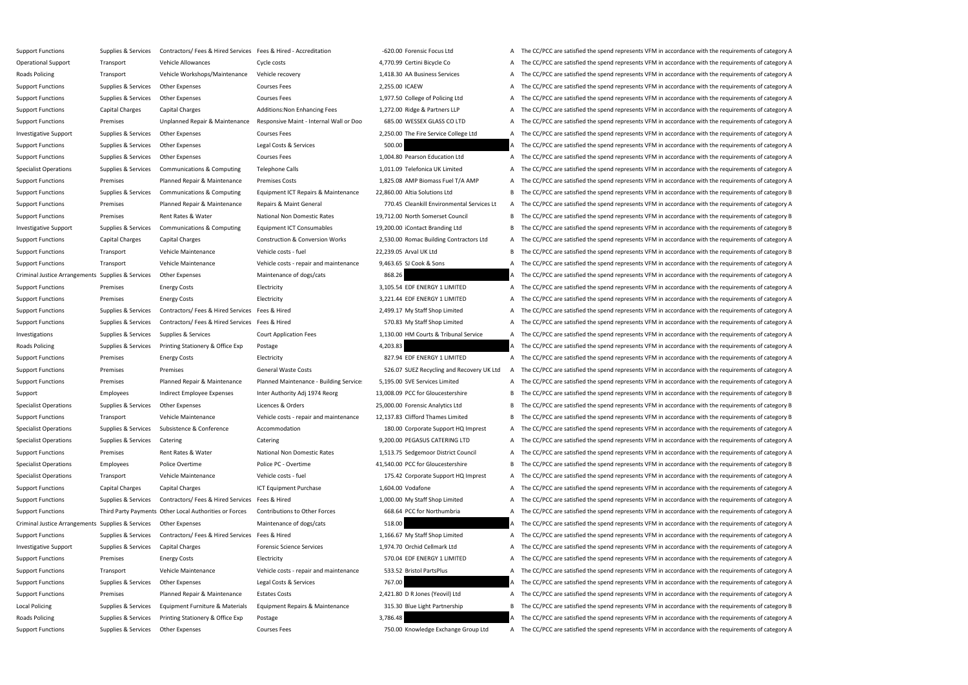Support Functions Supplies & Services Contractors/ Fees & Hired Services Fees & Hired - Accreditation - 620.00 Forensic Focus Ltd A The CC/PCC are satisfied the spend represents VFM in accordance with the requirements of c Operational Support Transport Vehicle Allowances Cycle costs 4,770.99 Certini Bicycle Co A The CC/PCC are satisfied the spend represents VFM in accordance with the requirements of category A Roads Policing Transport Vehicle Workshops/Maintenance Vehicle recovery 1,418.30 AA Business Services A The CC/PCC are satisfied the spend represents VFM in accordance with the requirements of category A Support Functions Supplies & Services Other Expenses Courses Fees 2,255.00 ICAEW A The CC/PCC are satisfied the spend represents VFM in accordance with the requirements of category A Support Functions Supplies & Services Other Expenses Courses Fees Courses Fees 1,977.50 College of Policing Ltd A The CC/PCC are satisfied the spend represents VFM in accordance with the requirements of category A Support Functions Capital Charges Capital Charges Additions:Non Enhancing Fees 1,272.00 Ridge & Partners LLP A The CC/PCC are satisfied the spend represents VFM in accordance with the requirements of category A Support Functions Premises Dipplanned Repair & Maintenance Responsive Maint - Internal Wall or Doo 685.00 WESSEX GLASS CO LTD A The CC/PCC are satisfied the spend represents VFM in accordance with the requirements of categ Investigative Support Supplies & Services Other Expenses Courses Fees Courses Fees 2,250.00 The Fire Service College Ltd A The CC/PCC are satisfied the spend represents VFM in accordance with the requirements of category A Support Functions Supplies & Services Other Expenses Legal Costs & Services Legal Costs & Services 500.00 A The CC/PCC are satisfied the spend represents VFM in accordance with the requirements of category A Support Functions Supplies & Services Other Expenses Courses Fees Courses Fees 1,004.80 Pearson Education Ltd A The CC/PCC are satisfied the spend represents VFM in accordance with the requirements of category A Specialist Operations Supplies & Services Communications & Computing Telephone Calls 1,011.09 Telefonica UK Limited A The CC/PCC are satisfied the spend represents VFM in accordance with the requirements of category A Support Functions Premises Planned Repair & Maintenance Premises Costs 1,825.08 AMP Biomass Fuel T/A AMP A The CC/PCC are satisfied the spend represents VFM in accordance with the requirements of category A Support Functions Supplies & Services Communications & Computing Equipment ICT Repairs & Maintenance 22,860.00 Altia Solutions Ltd B The CC/PCC are satisfied the spend represents VFM in accordance with the requirements of Support Functions Premises Planned Repair & Maintenance Repairs & Maint General 770.45 Cleankill Environmental Services Lt A The CC/PCC are satisfied the spend represents VFM in accordance with the requirements of category Support Functions Premises Rent Rates & Water National Non Domestic Rates 19,712.00 North Somerset Council B The CC/PCC are satisfied the spend represents VFM in accordance with the requirements of category B Investigative Support Supplies & Services Communications & Computing Equipment ICT Consumables 19,200.00 iContact Branding Ltd B The CC/PCC are satisfied the spend represents VFM in accordance with the requirements of cate Support Functions Capital Charges Capital Charges Construction & Conversion Works 2,530.00 Romac Building Contractors Ltd A The CC/PCC are satisfied the spend represents VFM in accordance with the requirements of category Support Functions Transport Vehicle Maintenance Vehicle costs - fuel 22,239.05 Arval UK Ltd B The CC/PCC are satisfied the spend represents VFM in accordance with the requirements of category B Support Functions Transport Vehicle Maintenance Vehicle costs - repair and maintenance 9,463.65 SJ Cook & Sons A The CC/PCC are satisfied the spend represents VFM in accordance with the requirements of category A Criminal Justice Arrangements Supplies & Services Other Expenses Maintenance of dogs/cats Maintenance of dogs/cats 868.26 A The CC/PCC are satisfied the spend represents VFM in accordance with the requirements of category Support Functions Premises Energy Costs Electricity Electricity and Because 3,105.54 EDF ENERGY 1 LIMITED A The CC/PCC are satisfied the spend represents VFM in accordance with the requirements of category A Support Functions Premises Energy Costs Electricity Electricity and the Support Electricity and Support Europe and The CC/PCC are satisfied the spend represents VFM in accordance with the requirements of category A Support Functions Supplies & Services Contractors/ Fees & Hired Services Fees & Hired 2,499.17 My Staff Shop Limited A The CC/PCC are satisfied the spend represents VFM in accordance with the requirements of category A Support Functions Supplies & Services Contractors/ Fees & Hired Services Fees & Hired Services Fees & Hired Services Fees & Hired 570.83 My Staff Shop Limited A The CC/PCC are satisfied the spend represents VFM in accordan Investigations Supplies & Services Supplies & Services Court Application Fees 1,130.00 HM Courts & Tribunal Service A The CC/PCC are satisfied the spend represents VFM in accordance with the requirements of category A Roads Policing Supplies & Services Printing Stationery & Office Exp Postage 1990 a 4,203.83 A The CC/PCC are satisfied the spend represents VFM in accordance with the requirements of category A Support Functions Premises Energy Costs Electricity Electricity and Electricity and Base and S27.94 EDF ENERGY 1 LIMITED A The CC/PCC are satisfied the spend represents VFM in accordance with the requirements of category A Support Functions Premises Premises Premises General Waste Costs General Waste Costs 526.07 SUEZ Recycling and Recovery UK Ltd A The CC/PCC are satisfied the spend represents VFM in accordance with the requirements of cate Support Functions Premises Premises Planned Repair & Maintenance Planned Maintenance - Building Services 5,195.00 SVE Services Limited A The CC/PCC are satisfied the spend represents VFM in accordance with the requirements Support Employees Indirect Employee Expenses Inter Authority Adj 1974 Reorg 13,008.09 PCC for Gloucestershire B The CC/PCC are satisfied the spend represents VFM in accordance with the requirements of category B Specialist Operations Supplies & Services Other Expenses Licences & Orders 25,000.00 Forensic Analytics Ltd B The CC/PCC are satisfied the spend represents VFM in accordance with the requirements of category B Support Functions Transport Vehicle Maintenance Vehicle costs - repair and maintenance 12,137.83 Clifford Thames Limited B The CC/PCC are satisfied the spend represents VFM in accordance with the requirements of category B Specialist Operations Supplies & Services Subsistence & Conference Accommodation Accommodation 180.00 Corporate Support HQ Imprest A The CC/PCC are satisfied the spend represents VFM in accordance with the requirements of Specialist Operations Supplies & Services Catering Catering Catering Catering Catering Catering Catering Catering Catering David De Services Category A The CC/PCC are satisfied the spend represents VFM in accordance with t Support Functions Premises Rent Rates & Water National Non Domestic Rates 1,513.75 Sedgemoor District Council A The CC/PCC are satisfied the spend represents VFM in accordance with the requirements of category A Specialist Operations Employees Police Overtime Police PC - Overtime 41,540.00 PCC for Gloucestershire B The CC/PCC are satisfied the spend represents VFM in accordance with the requirements of category B Specialist Operations Transport Vehicle Maintenance Vehicle costs - fuel 175.42 Corporate Support HQ Imprest A The CC/PCC are satisfied the spend represents VFM in accordance with the requirements of category A Support Functions Capital Charges Capital Charges ICT Equipment Purchase 1,604.00 Vodafone A The CC/PCC are satisfied the spend represents VFM in accordance with the requirements of category A Support Functions Supplies & Services Contractors/ Fees & Hired Services Fees & Hired 1,000.00 My Staff Shop Limited A The CC/PCC are satisfied the spend represents VFM in accordance with the requirements of category A Support Functions Third Party Payments Other Local Authorities or Forces Contributions to Other Forces 668.64 PCC for Northumbria A The CC/PCC are satisfied the spend represents VFM in accordance with the requirements of c Criminal Justice Arrangements Supplies & Services Other Expenses Maintenance of dogs/cats Maintenance of dogs/cats 518.00 A The CC/PCC are satisfied the spend represents VFM in accordance with the requirements of category Support Functions Supplies & Services Contractors/ Fees & Hired Services Fees & Hired 1,166.67 My Staff Shop Limited A The CC/PCC are satisfied the spend represents VFM in accordance with the requirements of category A Investigative Support Supplies & Services Capital Charges Forensic Science Services Forensic Science Services 1,974.70 Orchid Cellmark Ltd A The CC/PCC are satisfied the spend represents VFM in accordance with the requirem Support Functions Premises Energy Costs Electricity Electricity and the Stategory A The CC/PCC are satisfied the spend represents VFM in accordance with the requirements of category A Support Functions Transport Vehicle Maintenance Vehicle costs - repair and maintenance 533.52 Bristol PartsPlus A The CC/PCC are satisfied the spend represents VFM in accordance with the requirements of category A Support Functions Supplies & Services Other Expenses Legal Costs & Services 767.00 A The CC/PCC are satisfied the spend represents VFM in accordance with the requirements of category A Support Functions Premises Planned Repair & Maintenance Estates Costs 2,421.80 D R Jones (Yeovil) Ltd A The CC/PCC are satisfied the spend represents VFM in accordance with the requirements of category A Local Policing Supplies & Services Equipment Furniture & Materials Equipment Repairs & Maintenance 315.30 Blue Light Partnership B The CC/PCC are satisfied the spend represents VFM in accordance with the requirements of ca Roads Policing Supplies & Services Printing Stationery & Office Exp Postage Printing Stationery & Office Exp Postage 3,786.48 3,786.48 A The CC/PCC are satisfied the spend represents VFM in accordance with the requirements Support Functions Supplies & Services Other Expenses Courses Fees Courses Fees 750.00 Knowledge Exchange Group Ltd A The CC/PCC are satisfied the spend represents VFM in accordance with the requirements of category A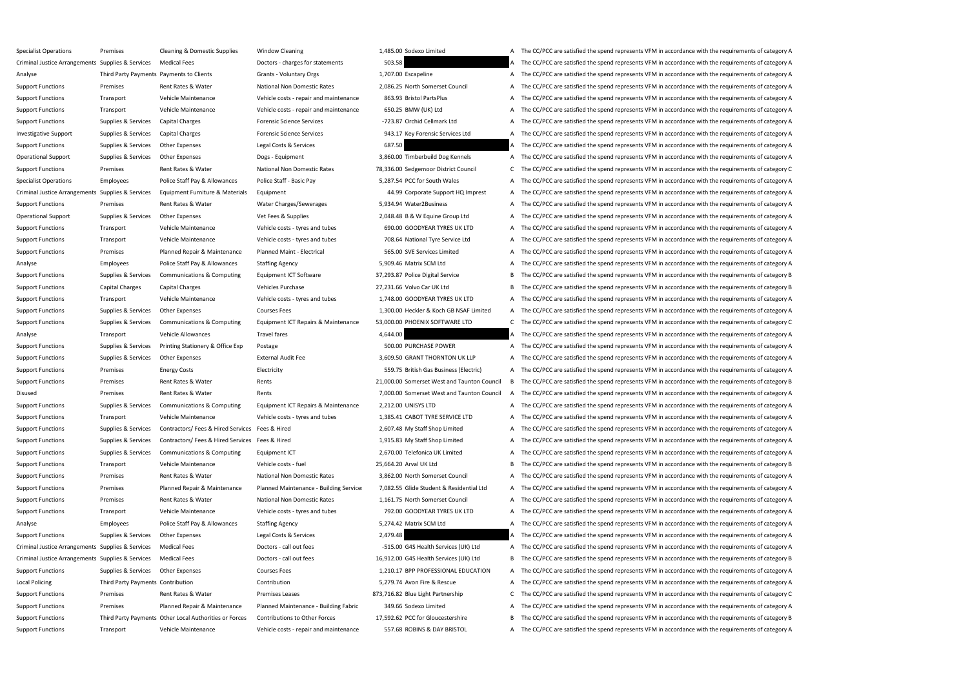Specialist Operations Premises Cleaning & Domestic Supplies Window Cleaning 1,485.00 Sodexo Limited A The CC/PCC are satisfied the spend represents VFM in accordance with the requirements of category A Criminal Justice Arrangements Supplies & Services Medical Fees Doctors - charges for statements Doctors - charges for statements 503.58 A The CC/PCC are satisfied the spend represents VFM in accordance with the requirement Analyse Third Party Payments Payments to Clients Grants - Voluntary Orgs 1,707.00 Escapeline A The CC/PCC are satisfied the spend represents VFM in accordance with the requirements of category A Support Functions Premises Rent Rates & Water National Non Domestic Rates 2,086.25 North Somerset Council A The CC/PCC are satisfied the spend represents VFM in accordance with the requirements of category A Support Functions Transport Vehicle Maintenance Vehicle costs - repair and maintenance 863.93 Bristol PartsPlus A The CC/PCC are satisfied the spend represents VFM in accordance with the requirements of category A Support Functions Transport Vehicle Maintenance Vehicle costs - repair and maintenance 650.25 BMW (UK) Ltd A The CC/PCC are satisfied the spend represents VFM in accordance with the requirements of category A Support Functions Supplies & Services Capital Charges Forensic Science Services -723.87 Orchid Cellmark Ltd A The CC/PCC are satisfied the spend represents VFM in accordance with the requirements of category A Investigative Support Supplies & Services Capital Charges Forensic Science Services 943.17 Key Forensic Services Ltd A The CC/PCC are satisfied the spend represents VFM in accordance with the requirements of category A Support Functions Supplies & Services Other Expenses Legal Costs & Services 687.50 A The CC/PCC are satisfied the spend represents VFM in accordance with the requirements of category A Operational Support Supplies & Services Other Expenses Dogs - Equipment Dogs - Equipment 3,860.00 Timberbuild Dog Kennels A The CC/PCC are satisfied the spend represents VFM in accordance with the requirements of category Support Functions Premises Rent Rates & Water National Non Domestic Rates 78,336.00 Sedgemoor District Council C The CC/PCC are satisfied the spend represents VFM in accordance with the requirements of category C Specialist Operations Employees Police Staff Pay & Allowances Police Staff - Basic Pay 5,287.54 PCC for South Wales A The CC/PCC are satisfied the spend represents VFM in accordance with the requirements of category A Criminal Justice Arrangements Supplies & Services Equipment Furniture & Materials Equipment Equipment 44.99 Corporate Support HQ Imprest A The CC/PCC are satisfied the spend represents VFM in accordance with the requiremen Support Functions Premises Rent Rates & Water Water Charges/Sewerages 5,934.94 Water2Business A The CC/PCC are satisfied the spend represents VFM in accordance with the requirements of category A Operational Support Supplies & Services Other Expenses Vet Fees & Supplies Vet Fees & Supplies 2,048.48 B & W Equine Group Ltd A The CC/PCC are satisfied the spend represents VFM in accordance with the requirements of cate Support Functions Transport Vehicle Maintenance Vehicle costs - tyres and tubes 690.00 GOODYEAR TYRES UK LTD A The CC/PCC are satisfied the spend represents VFM in accordance with the requirements of category A Support Functions Transport Vehicle Maintenance Vehicle costs - tyres and tubes 708.64 National Tyre Service Ltd A The CC/PCC are satisfied the spend represents VFM in accordance with the requirements of category A Support Functions Premises Planned Repair & Maintenance Planned Maint - Electrical 565.00 SVE Services Limited A The CC/PCC are satisfied the spend represents VFM in accordance with the requirements of category A Analyse Employees Police Staff Pay & Allowances Staffing Agency 5,909.46 Matrix SCM Ltd A The CC/PCC are satisfied the spend represents VFM in accordance with the requirements of category A Support Functions Supplies & Services Communications & Computing Equipment ICT Software 37,293.87 Police Digital Service B The CC/PCC are satisfied the spend represents VFM in accordance with the requirements of category B Support Functions Capital Charges Capital Charges Vehicles Purchase Vehicles Purchase 27,231.66 Volvo Car UK Ltd B The CC/PCC are satisfied the spend represents VFM in accordance with the requirements of category B Support Functions Transport Vehicle Maintenance Vehicle costs - tyres and tubes 1,748.00 GOODYEAR TYRES UK LTD A The CC/PCC are satisfied the spend represents VFM in accordance with the requirements of category A Support Functions Supplies & Services Other Expenses Courses Fees Courses Fees 1,300.00 Heckler & Koch GB NSAF Limited A The CC/PCC are satisfied the spend represents VFM in accordance with the requirements of category A Support Functions Supplies & Services Communications & Computing Equipment ICT Repairs & Maintenance 53,000.00 PHOENIX SOFTWARE LTD C The CC/PCC are satisfied the spend represents VFM in accordance with the requirements of Analyse Transport Vehicle Allowances Travel fares Travel fares 4,644.00 A The CC/PCC are satisfied the spend represents VFM in accordance with the requirements of category A Support Functions Supplies & Services Printing Stationery & Office Exp Postage Postage 500.00 PURCHASE POWER A The CC/PCC are satisfied the spend represents VFM in accordance with the requirements of category A Support Functions Supplies & Services Other Expenses External Audit Fee 3,609.50 GRANT THORNTON UK LLP A The CC/PCC are satisfied the spend represents VFM in accordance with the requirements of category A Support Functions Premises Energy Costs Electricity Electricity S59.75 British Gas Business (Electric) A The CC/PCC are satisfied the spend represents VFM in accordance with the requirements of category A Support Functions Premises Rent Rates & Water Rents Rents Rents 21,000.00 Somerset West and Taunton Council B The CC/PCC are satisfied the spend represents VFM in accordance with the requirements of category B Disused Premises Rent Rates & Water Rents Rents Rents Rents 7,000.00 Somerset West and Taunton Council A The CC/PCC are satisfied the spend represents VFM in accordance with the requirements of category A Support Functions Supplies & Services Communications & Computing Equipment ICT Repairs & Maintenance 2,212.00 UNISYS LTD A The CC/PCC are satisfied the spend represents VFM in accordance with the requirements of category A Support Functions Transport Vehicle Maintenance Vehicle costs - tyres and tubes 1,385.41 CABOT TYRE SERVICE LTD A The CC/PCC are satisfied the spend represents VFM in accordance with the requirements of category A Support Functions Supplies & Services Contractors/ Fees & Hired Services Fees & Hired 2,607.48 My Staff Shop Limited A The CC/PCC are satisfied the spend represents VFM in accordance with the requirements of category A Support Functions Supplies & Services Contractors/ Fees & Hired Services Fees & Hired 1,915.83 My Staff Shop Limited A The CC/PCC are satisfied the spend represents VFM in accordance with the requirements of category A Support Functions Supplies & Services Communications & Computing Equipment ICT 2,670.00 Telefonica UK Limited A The CC/PCC are satisfied the spend represents VFM in accordance with the requirements of category A Support Functions Transport Vehicle Maintenance Vehicle costs - fuel 25,664.20 Arval UK Ltd B The CC/PCC are satisfied the spend represents VFM in accordance with the requirements of category B Support Functions Premises Rent Rates & Water National Non Domestic Rates 3,862.00 North Somerset Council A The CC/PCC are satisfied the spend represents VFM in accordance with the requirements of category A Support Functions Premises Planned Repair & Maintenance Planned Maintenance - Building Service: 7,082.55 Glide Student & Residential Ltd A The CC/PCC are satisfied the spend represents VFM in accordance with the requiremen Support Functions Premises Rent Rates & Water National Non Domestic Rates 1,161.75 North Somerset Council A The CC/PCC are satisfied the spend represents VFM in accordance with the requirements of category A Support Functions Transport Vehicle Maintenance Vehicle costs - tyres and tubes 792.00 GOODYEAR TYRES UK LTD A The CC/PCC are satisfied the spend represents VFM in accordance with the requirements of category A Analyse Employees Police Staff Pay & Allowances Staffing Agency 5,274.42 Matrix SCM Ltd A The CC/PCC are satisfied the spend represents VFM in accordance with the requirements of category A Support Functions Supplies & Services Other Expenses Legal Costs & Services 2,479.48 A The CC/PCC are satisfied the spend represents VFM in accordance with the requirements of category A Criminal Justice Arrangements Supplies & Services Medical Fees Doctors - call out fees Doctors - call out fees Doctors - call out fees 5.55.00 G4S Health Services (UK) Ltd A The CC/PCC are satisfied the spend represents VF Criminal Justice Arrangements Supplies & Services Medical Fees Doctors - call out fees Doctors - call out fees Doctors - call out fees 16,912.00 G4S Health Services (UK) Ltd B The CC/PCC are satisfied the spend represents Support Functions Supplies & Services Other Expenses Courses Fees Courses Fees 1,210.17 BPP PROFESSIONAL EDUCATION A The CC/PCC are satisfied the spend represents VFM in accordance with the requirements of category A Local Policing Third Party Payments Contribution Contribution Contribution Contribution Contribution Contribution 5,279.74 Avon Fire & Rescue A The CC/PCC are satisfied the spend represents VFM in accordance with the requi Support Functions Premises Premises Premit Rates & Water Premises Leases Premises Leases 873,716.82 Blue Light Partnership C The CC/PCC are satisfied the spend represents VFM in accordance with the requirements of category Support Functions Premises Planned Repair & Maintenance Planned Maintenance - Building Fabric 349.66 Sodexo Limited A The CC/PCC are satisfied the spend represents VFM in accordance with the requirements of category A Support Functions Third Party Payments Other Local Authorities or Forces Contributions to Other Forces 17,592.62 PCC for Gloucestershire B The CC/PCC are satisfied the spend represents VFM in accordance with the requiremen Support Functions Transport Vehicle Maintenance Vehicle costs - repair and maintenance 557.68 ROBINS & DAY BRISTOL A The CC/PCC are satisfied the spend represents VFM in accordance with the requirements of category A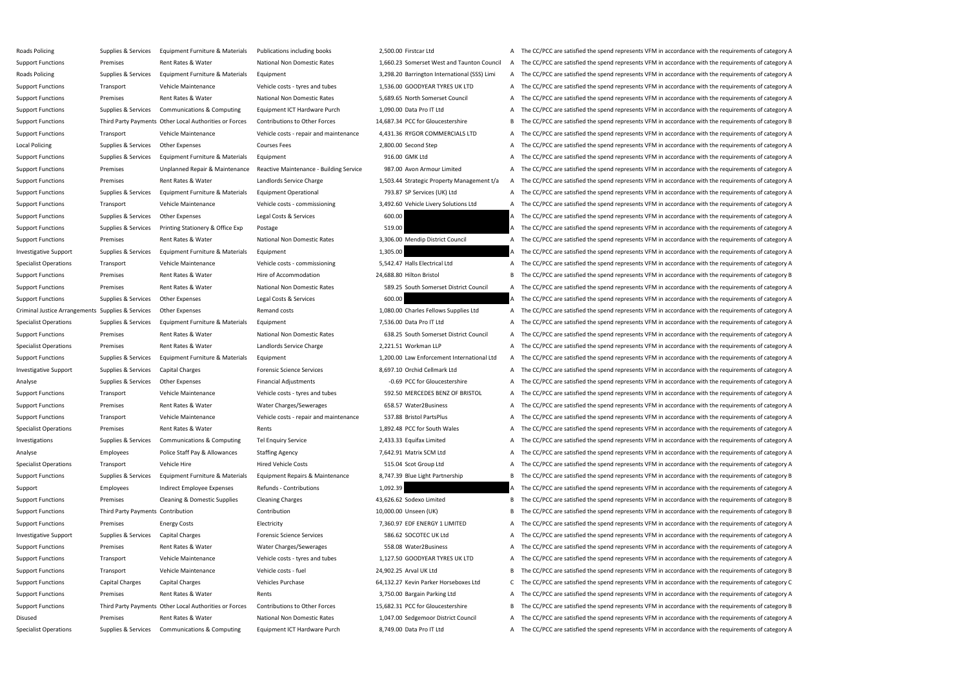Roads Policing Supplies & Services Equipment Furniture & Materials Publications including books 2,500.00 Firstcar Ltd A The CC/PCC are satisfied the spend represents VFM in accordance with the requirements of category A Support Functions Premises Rent Rates & Water National Non Domestic Rates 1,660.23 Somerset West and Taunton Council A The CC/PCC are satisfied the spend represents VFM in accordance with the requirements of category A Roads Policing Supplies & Services Equipment Furniture & Materials Equipment 3,298.20 Barrington International (SSS) Limi A The CC/PCC are satisfied the spend represents VFM in accordance with the requirements of category Support Functions Transport Vehicle Maintenance Vehicle costs - tyres and tubes 1,536.00 GOODYEAR TYRES UK LTD A The CC/PCC are satisfied the spend represents VFM in accordance with the requirements of category A Support Functions Premises Rent Rates & Water National Non Domestic Rates 5,689.65 North Somerset Council A The CC/PCC are satisfied the spend represents VFM in accordance with the requirements of category A Support Functions Supplies & Services Communications & Computing Equipment ICT Hardware Purch 1,090.00 Data Pro IT Ltd A The CC/PCC are satisfied the spend represents VFM in accordance with the requirements of category A Support Functions Third Party Payments Other Local Authorities or Forces Contributions to Other Forces 14,687.34 PCC for Gloucestershire B The CC/PCC are satisfied the spend represents VFM in accordance with the requiremen Support Functions Transport Vehicle Maintenance Vehicle costs - repair and maintenance 4,431.36 RYGOR COMMERCIALS LTD A The CC/PCC are satisfied the spend represents VFM in accordance with the requirements of category A Local Policing Supplies & Services Other Expenses Courses Fees 2,800.00 Second Step A The CC/PCC are satisfied the spend represents VFM in accordance with the requirements of category A Support Functions Supplies & Services Equipment Furniture & Materials Equipment 916.00 GMK Ltd A The CC/PCC are satisfied the spend represents VFM in accordance with the requirements of category A Support Functions Premises Dipplanned Repair & Maintenance Reactive Maintenance - Building Service 987.00 Avon Armour Limited A The CC/PCC are satisfied the spend represents VFM in accordance with the requirements of categ Support Functions Premises Rent Rates & Water Landlords Service Charge 1,503.44 Strategic Property Management t/a A The CC/PCC are satisfied the spend represents VFM in accordance with the requirements of category A Support Functions Supplies & Services Equipment Furniture & Materials Equipment Operational 793.87 SP Services (UK) Ltd A The CC/PCC are satisfied the spend represents VFM in accordance with the requirements of category A Support Functions Transport Vehicle Maintenance Vehicle costs - commissioning 3,492.60 Vehicle Livery Solutions Ltd A The CC/PCC are satisfied the spend represents VFM in accordance with the requirements of category A Support Functions Supplies & Services Other Expenses Legal Costs & Services 600.00 A The CC/PCC are satisfied the spend represents VFM in accordance with the requirements of category A Support Functions Supplies & Services Printing Stationery & Office Exp Postage Printing Stationery & Office Exp Postage 519.00 519.00 A The CC/PCC are satisfied the spend represents VFM in accordance with the requirements Support Functions Premises Rent Rates & Water National Non Domestic Rates 3,306.00 Mendip District Council A The CC/PCC are satisfied the spend represents VFM in accordance with the requirements of category A Investigative Support Supplies & Services Equipment Furniture & Materials Equipment 1,305.00 1,305.00 A The CC/PCC are satisfied the spend represents VFM in accordance with the requirements of category A Specialist Operations Transport Vehicle Maintenance Vehicle costs - commissioning 5,542.47 Halls Electrical Ltd A The CC/PCC are satisfied the spend represents VFM in accordance with the requirements of category A Support Functions Premises Rent Rates & Water Hire of Accommodation 24,688.80 Hilton Bristol B The CC/PCC are satisfied the spend represents VFM in accordance with the requirements of category B Support Functions Premises Rent Rates & Water National Non Domestic Rates 589.25 South Somerset District Council A The CC/PCC are satisfied the spend represents VFM in accordance with the requirements of category A Support Functions Supplies & Services Other Expenses Legal Costs & Services 600.00 A The CC/PCC are satisfied the spend represents VFM in accordance with the requirements of category A Criminal Justice Arrangements Supplies & Services Other Expenses Remand costs Remand costs 1,080.00 Charles Fellows Supplies Ltd A The CC/PCC are satisfied the spend represents VFM in accordance with the requirements of ca Specialist Operations Supplies & Services Equipment Furniture & Materials Equipment 7,536.00 Data Pro IT Ltd A The CC/PCC are satisfied the spend represents VFM in accordance with the requirements of category A Support Functions Premises Rent Rates & Water National Non Domestic Rates 638.25 South Somerset District Council A The CC/PCC are satisfied the spend represents VFM in accordance with the requirements of category A Specialist Operations Premises Rent Rates & Water Landlords Service Charge 2,221.51 Workman LLP A The CC/PCC are satisfied the spend represents VFM in accordance with the requirements of category A Support Functions Supplies & Services Equipment Furniture & Materials Equipment 1,200.00 Law Enforcement International Ltd A The CC/PCC are satisfied the spend represents VFM in accordance with the requirements of category Investigative Support Supplies & Services Capital Charges Forensic Science Services 8,697.10 Orchid Cellmark Ltd A The CC/PCC are satisfied the spend represents VFM in accordance with the requirements of category A Analyse Supplies & Services Other Expenses Financial Adjustments -0.69 PCC for Gloucestershire A The CC/PCC are satisfied the spend represents VFM in accordance with the requirements of category A Support Functions Transport Vehicle Maintenance Vehicle costs - tyres and tubes 592.50 MERCEDES BENZ OF BRISTOL A The CC/PCC are satisfied the spend represents VFM in accordance with the requirements of category A Support Functions Premises Rent Rates & Water Water Charges/Sewerages 658.57 Water2Business A The CC/PCC are satisfied the spend represents VFM in accordance with the requirements of category A Support Functions Transport Vehicle Maintenance Vehicle costs - repair and maintenance 537.88 Bristol PartsPlus A The CC/PCC are satisfied the spend represents VFM in accordance with the requirements of category A Specialist Operations Premises Rent Rates & Water Rents Rents Rents Rents A The CC/PCC are satisfied the spend represents VFM in accordance with the requirements of category A Investigations Supplies & Services Communications & Computing Tel Enquiry Service 2,433.33 Equifax Limited A The CC/PCC are satisfied the spend represents VFM in accordance with the requirements of category A Analyse Employees Police Staff Pay & Allowances Staffing Agency 7,642.91 Matrix SCM Ltd A The CC/PCC are satisfied the spend represents VFM in accordance with the requirements of category A Specialist Operations Transport Vehicle Hire Hired Vehicle Costs Hired Vehicle Costs 515.04 Scot Group Ltd A The CC/PCC are satisfied the spend represents VFM in accordance with the requirements of category A Support Functions Supplies & Services Equipment Furniture & Materials Equipment Repairs & Maintenance 8,747.39 Blue Light Partnership B The CC/PCC are satisfied the spend represents VFM in accordance with the requirements Support Employees Indirect Employee Expenses Refunds - Contributions 1,092.39 A The CC/PCC are satisfied the spend represents VFM in accordance with the requirements of category A Support Functions Premises Cleaning & Domestic Supplies Cleaning Charges 43,626.62 Sodexo Limited B The CC/PCC are satisfied the spend represents VFM in accordance with the requirements of category B Support Functions Third Party Payments Contribution Contribution Contribution Contribution Contribution Contribution 10,000.00 Unseen (UK) B The CC/PCC are satisfied the spend represents VFM in accordance with the requirem Support Functions Premises Energy Costs Electricity Electricity and Electricity 7,360.97 EDF ENERGY 1 LIMITED A The CC/PCC are satisfied the spend represents VFM in accordance with the requirements of category A Investigative Support Support Support Supportes Capital Charges Forensic Science Services Forensic Science Services 586.62 SOCOTEC UK Ltd A The CC/PCC are satisfied the spend represents VFM in accordance with the requireme Support Functions Premises Rent Rates & Water Water Charges/Sewerages 558.08 Water2Business A The CC/PCC are satisfied the spend represents VFM in accordance with the requirements of category A Support Functions Transport Vehicle Maintenance Vehicle costs - tyres and tubes 1,127.50 GOODYEAR TYRES UK LTD A The CC/PCC are satisfied the spend represents VFM in accordance with the requirements of category A Support Functions Transport Vehicle Maintenance Vehicle costs - fuel 24,902.25 Arval UK Ltd B The CC/PCC are satisfied the spend represents VFM in accordance with the requirements of category B Support Functions Capital Charges Capital Charges Vehicles Purchase Vehicles Purchase 64,132.27 Kevin Parker Horseboxes Ltd C The CC/PCC are satisfied the spend represents VFM in accordance with the requirements of categor Support Functions Premises Rent Rates & Water Rents Rents Rents Rents 2,750.00 Bargain Parking Ltd A The CC/PCC are satisfied the spend represents VFM in accordance with the requirements of category A Support Functions Third Party Payments Other Local Authorities or Forces Contributions to Other Forces 15,682.31 PCC for Gloucestershire B The CC/PCC are satisfied the spend represents VFM in accordance with the requiremen Disused Premises Rent Rates & Water National Non Domestic Rates 1,047.00 Sedgemoor District Council A The CC/PCC are satisfied the spend represents VFM in accordance with the requirements of category A Specialist Operations Supplies & Services Communications & Computing Equipment ICT Hardware Purch 8,749.00 Data Pro IT Ltd A The CC/PCC are satisfied the spend represents VFM in accordance with the requirements of category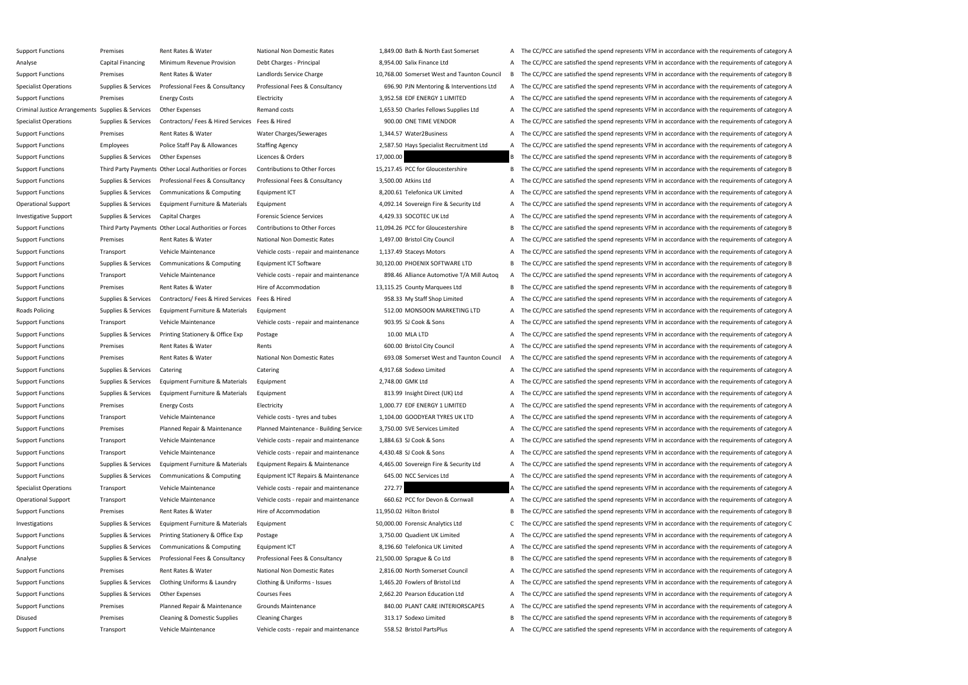| upport Functions                                 | Premises            | Rent Rates & Water                                    |
|--------------------------------------------------|---------------------|-------------------------------------------------------|
| nalyse                                           | Capital Financing   | Minimum Revenue Provision                             |
| upport Functions                                 | Premises            | Rent Rates & Water                                    |
| pecialist Operations                             | Supplies & Services | Professional Fees & Consultancy                       |
| upport Functions                                 | Premises            | <b>Energy Costs</b>                                   |
| riminal Justice Arrangements Supplies & Services |                     | <b>Other Expenses</b>                                 |
| pecialist Operations                             | Supplies & Services | Contractors/ Fees & Hired Servic                      |
| upport Functions                                 | Premises            | Rent Rates & Water                                    |
| upport Functions                                 | <b>Employees</b>    | Police Staff Pay & Allowances                         |
| upport Functions                                 | Supplies & Services | <b>Other Expenses</b>                                 |
| upport Functions                                 |                     | Third Party Payments Other Local Authorities or Force |
| upport Functions                                 | Supplies & Services | Professional Fees & Consultancy                       |
| upport Functions                                 | Supplies & Services | Communications & Computing                            |
| perational Support                               | Supplies & Services | Equipment Furniture & Material                        |
| nvestigative Support                             | Supplies & Services | Capital Charges                                       |
| upport Functions                                 |                     | Third Party Payments Other Local Authorities or Force |
| upport Functions                                 | Premises            | Rent Rates & Water                                    |
| upport Functions                                 | Transport           | Vehicle Maintenance                                   |
| upport Functions                                 | Supplies & Services | Communications & Computing                            |
| upport Functions                                 | Transport           | Vehicle Maintenance                                   |
| upport Functions                                 | Premises            | Rent Rates & Water                                    |
| upport Functions                                 | Supplies & Services | Contractors/ Fees & Hired Servic                      |
| oads Policing                                    | Supplies & Services | Equipment Furniture & Material                        |
| upport Functions                                 | Transport           | Vehicle Maintenance                                   |
| upport Functions                                 | Supplies & Services | Printing Stationery & Office Exp                      |
| upport Functions                                 | Premises            | Rent Rates & Water                                    |
| upport Functions                                 | Premises            | Rent Rates & Water                                    |
| upport Functions                                 | Supplies & Services | Catering                                              |
| upport Functions                                 | Supplies & Services | Equipment Furniture & Material                        |
| upport Functions                                 | Supplies & Services | Equipment Furniture & Material                        |
| upport Functions                                 | Premises            | <b>Energy Costs</b>                                   |
| upport Functions                                 | Transport           | Vehicle Maintenance                                   |
| upport Functions                                 | Premises            | Planned Repair & Maintenance                          |
| upport Functions                                 | Transport           | Vehicle Maintenance                                   |
| upport Functions                                 | Transport           | Vehicle Maintenance                                   |
| upport Functions                                 | Supplies & Services | Equipment Furniture & Material                        |
| upport Functions                                 | Supplies & Services | Communications & Computing                            |
| pecialist Operations                             | Transport           | Vehicle Maintenance                                   |
| perational Support                               | Transport           | Vehicle Maintenance                                   |
| upport Functions                                 | Premises            | Rent Rates & Water                                    |
| <b>nvestigations</b>                             | Supplies & Services | Equipment Furniture & Material                        |
| upport Functions                                 | Supplies & Services | Printing Stationery & Office Exp                      |
| upport Functions                                 | Supplies & Services | Communications & Computing                            |
| nalyse                                           | Supplies & Services | Professional Fees & Consultancy                       |
| upport Functions                                 | Premises            | Rent Rates & Water                                    |
| upport Functions                                 | Supplies & Services | Clothing Uniforms & Laundry                           |
| upport Functions                                 | Supplies & Services | <b>Other Expenses</b>                                 |
| upport Functions                                 | Premises            | Planned Repair & Maintenance                          |
| isused                                           | Premises            | <b>Cleaning &amp; Domestic Supplies</b>               |
| upport Functions                                 | Transport           | Vehicle Maintenance                                   |
|                                                  |                     |                                                       |

National Non Domestic Rates **1,849.00 Bath & North East Somerset** A The CC/PCC are satisfied the spend represents VFM in accordance with the requirements of category A Debt Charges - Principal 8,954.00 Salix Finance Ltd A The CC/PCC are satisfied the spend represents VFM in accordance with the requirements of category A Landlords Service Charge 10,768.00 Somerset West and Taunton Council B The CC/PCC are satisfied the spend represents VFM in accordance with the requirements of category B Professional Fees & Consultancy 696.90 PJN Mentoring & Interventions Ltd A The CC/PCC are satisfied the spend represents VFM in accordance with the requirements of category A Electricity **ELECTRICITY** 3,952.58 EDF ENERGY 1 LIMITED A The CC/PCC are satisfied the spend represents VFM in accordance with the requirements of category A Remand costs **Expenses Arrangements Supplies Conducts Arrangements CFC** are satisfied the spend represents VFM in accordance with the requirements of category A Contractors Specialist Operations Supplies Supplies Tractors Contractors Contractors Fees & Hired Services Fees & Hired Services of category A The CC/PCC are satisfied the spend represents VFM in accordance with the requir Water Charges/Sewerages 2,344.57 Water 2Business A The CC/PCC are satisfied the spend represents VFM in accordance with the requirements of category A Staffing Agency **Support Concerns A STAT ALLOWANCES ARECRUIT** A The CC/PCC are satisfied the spend represents VFM in accordance with the requirements of category A Licences & Orders **Expenses Access 2017,000.00** 17,000.00 **B** The CC/PCC are satisfied the spend represents VFM in accordance with the requirements of category B Contributions to Other Forces 15,217.45 PCC for Gloucestershire B The CC/PCC are satisfied the spend represents VFM in accordance with the requirements of category B Professional Fees & Consultancy 3,500.00 Atkins Ltd A The CC/PCC are satisfied the spend represents VFM in accordance with the requirements of category A Equipment ICT Equipment Communications Supplies A The CC/PCC are satisfied the spend represents VFM in accordance with the requirements of category A Ils Equipment Turniture Agold Support Agold Supplies A Security Ltd A The CC/PCC are satisfied the spend represents VFM in accordance with the requirements of category A Forensic Science Services **A The CC/PCC** are satisfied the spend represents VFM in accordance with the requirements of category A Contributions to Other Forces 11,094.26 PCC for Gloucestershire B The CC/PCC are satisfied the spend represents VFM in accordance with the requirements of category B National Non Domestic Rates **1,497.00 Bristol City Council** A The CC/PCC are satisfied the spend represents VFM in accordance with the requirements of category A Vehicle costs - repair and maintenance 1,137.49 Staceys Motors A The CC/PCC are satisfied the spend represents VFM in accordance with the requirements of category A Equipment ICT Software 30,120.00 PHOENIX SOFTWARE LTD B The CC/PCC are satisfied the spend represents VFM in accordance with the requirements of category B Vehicle costs - repair and maintenance 898.46 Alliance Automotive T/A Mill Autoq A The CC/PCC are satisfied the spend represents VFM in accordance with the requirements of category A Hire of Accommodation 25,115.25 County Marquees Ltd B The CC/PCC are satisfied the spend represents VFM in accordance with the requirements of category B Cupport Functions Support Functions Supplies Supplies A The CC/PCC are satisfied the spend represents VFM in accordance with the requirements of category A Is Equipment **Example 20 ARTER SUPPLIES A SERVICES A THE COLL**TURE A The CC/PCC are satisfied the spend represents VFM in accordance with the requirements of category A Vehicle costs - repair and maintenance 903.95 SJ Cook & Sons A The CC/PCC are satisfied the spend represents VFM in accordance with the requirements of category A Postage **Supplies A The CC/PCC** are satisfied the spend represents VFM in accordance with the requirements of category A Rents Tunctions Premises A The CC/PCC are satisfied the spend represents VFM in accordance with the requirements of category A National Non Domestic Rates 693.08 Somerset West and Taunton Council A The CC/PCC are satisfied the spend represents VFM in accordance with the requirements of category A Catering The CC/PCC are satisfied the spend represents VFM in accordance with the requirements of category A Catering 4,917.68 Sodexo Limited A The CC/PCC are satisfied the spend represents VFM in accordance with the requi Is Equipment Tunctions Supplies A The CC/PCC are satisfied the spend represents VFM in accordance with the requirements of category A Ils Equipment Tunctions Supplies A Supplies A The CC/PCC are satisfied the spend represents VFM in accordance with the requirements of category A Electricity **EXECONTED 1,000.77 EDF ENERGY 1 LIMITED** A The CC/PCC are satisfied the spend represents VFM in accordance with the requirements of category A Vehicle costs - tyres and tubes 1,104.00 GOODYEAR TYRES UK LTD A The CC/PCC are satisfied the spend represents VFM in accordance with the requirements of category A Planned Maintenance - Building Service: 3,750.00 SVE Services Limited A The CC/PCC are satisfied the spend represents VFM in accordance with the requirements of category A Vehicle costs - repair and maintenance 1,884.63 SJ Cook & Sons A The CC/PCC are satisfied the spend represents VFM in accordance with the requirements of category A Vehicle costs - repair and maintenance 4,430.48 SJ Cook & Sons A The CC/PCC are satisfied the spend represents VFM in accordance with the requirements of category A Ils Equipment Repairs & Maintenance 4,465.00 Sovereign Fire & Security Ltd A The CC/PCC are satisfied the spend represents VFM in accordance with the requirements of category A Equipment ICT Repairs & Maintenance 645.00 NCC Services Ltd A The CC/PCC are satisfied the spend represents VFM in accordance with the requirements of category A Vehicle costs - repair and maintenance 272.77 2007 2012 2013 A The CC/PCC are satisfied the spend represents VFM in accordance with the requirements of category A Vehicle costs - repair and maintenance 660.62 PCC for Devon & Cornwall A The CC/PCC are satisfied the spend represents VFM in accordance with the requirements of category A Hire of Accommodation 21,950.02 Hilton Bristol B The CC/PCC are satisfied the spend represents VFM in accordance with the requirements of category B Investigations Supplies Analytics Ltd C The CC/PCC are satisfied the spend represents VFM in accordance with the requirements of category C Postage **A Supplies A The CC/PCC** are satisfied the spend represents VFM in accordance with the requirements of category A Equipment ICT **A THE CONTEGONS COMPUTIONS A THE COLL** A The CC/PCC are satisfied the spend represents VFM in accordance with the requirements of category A Professional Fees & Consultancy 21,500.00 Sprague & Co Ltd B The CC/PCC are satisfied the spend represents VFM in accordance with the requirements of category B National Non Domestic Rates 2,816.00 North Somerset Council A The CC/PCC are satisfied the spend represents VFM in accordance with the requirements of category A Clothing & Uniforms - Issues 1,465.20 Fowlers of Bristol Ltd A The CC/PCC are satisfied the spend represents VFM in accordance with the requirements of category A Courses Fees **Supplies A The CC/PCC** are satisfied the spend represents VFM in accordance with the requirements of category A Grounds Maintenance **SAO.00 PLANT CARE INTERIORSCAPES** A The CC/PCC are satisfied the spend represents VFM in accordance with the requirements of category A Cleaning Charges The Marges Cleaning Charges 213.17 Sodexo Limited B The CC/PCC are satisfied the spend represents VFM in accordance with the requirements of category B Vehicle costs - repair and maintenance 558.52 Bristol PartsPlus A The CC/PCC are satisfied the spend represents VFM in accordance with the requirements of category A